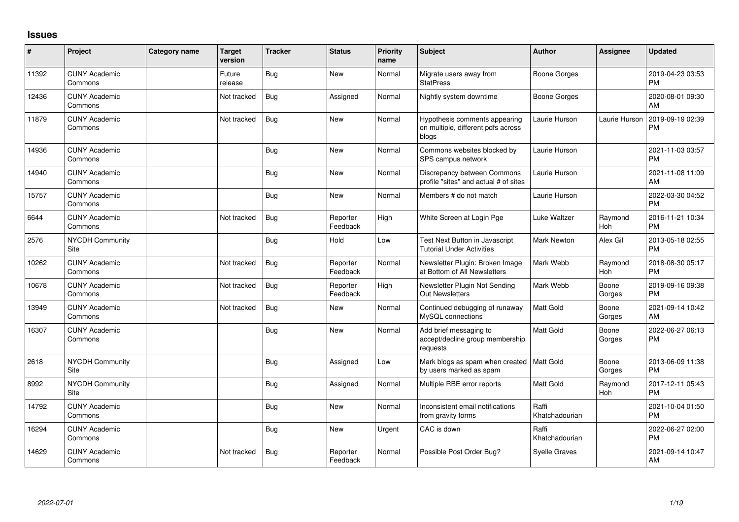## **Issues**

| #     | Project                         | <b>Category name</b> | <b>Target</b><br>version | <b>Tracker</b> | <b>Status</b>        | Priority<br>name | Subject                                                                      | <b>Author</b>           | Assignee        | <b>Updated</b>                |
|-------|---------------------------------|----------------------|--------------------------|----------------|----------------------|------------------|------------------------------------------------------------------------------|-------------------------|-----------------|-------------------------------|
| 11392 | <b>CUNY Academic</b><br>Commons |                      | Future<br>release        | Bug            | <b>New</b>           | Normal           | Migrate users away from<br><b>StatPress</b>                                  | <b>Boone Gorges</b>     |                 | 2019-04-23 03:53<br><b>PM</b> |
| 12436 | <b>CUNY Academic</b><br>Commons |                      | Not tracked              | Bug            | Assigned             | Normal           | Nightly system downtime                                                      | <b>Boone Gorges</b>     |                 | 2020-08-01 09:30<br>AM        |
| 11879 | <b>CUNY Academic</b><br>Commons |                      | Not tracked              | Bug            | <b>New</b>           | Normal           | Hypothesis comments appearing<br>on multiple, different pdfs across<br>blogs | Laurie Hurson           | Laurie Hurson   | 2019-09-19 02:39<br><b>PM</b> |
| 14936 | <b>CUNY Academic</b><br>Commons |                      |                          | <b>Bug</b>     | <b>New</b>           | Normal           | Commons websites blocked by<br>SPS campus network                            | Laurie Hurson           |                 | 2021-11-03 03:57<br><b>PM</b> |
| 14940 | <b>CUNY Academic</b><br>Commons |                      |                          | Bug            | <b>New</b>           | Normal           | Discrepancy between Commons<br>profile "sites" and actual # of sites         | Laurie Hurson           |                 | 2021-11-08 11:09<br>AM        |
| 15757 | <b>CUNY Academic</b><br>Commons |                      |                          | Bug            | <b>New</b>           | Normal           | Members # do not match                                                       | Laurie Hurson           |                 | 2022-03-30 04:52<br><b>PM</b> |
| 6644  | <b>CUNY Academic</b><br>Commons |                      | Not tracked              | Bug            | Reporter<br>Feedback | High             | White Screen at Login Pge                                                    | Luke Waltzer            | Raymond<br>Hoh  | 2016-11-21 10:34<br><b>PM</b> |
| 2576  | <b>NYCDH Community</b><br>Site  |                      |                          | Bug            | Hold                 | Low              | Test Next Button in Javascript<br><b>Tutorial Under Activities</b>           | Mark Newton             | Alex Gil        | 2013-05-18 02:55<br><b>PM</b> |
| 10262 | <b>CUNY Academic</b><br>Commons |                      | Not tracked              | Bug            | Reporter<br>Feedback | Normal           | Newsletter Plugin: Broken Image<br>at Bottom of All Newsletters              | Mark Webb               | Raymond<br>Hoh  | 2018-08-30 05:17<br><b>PM</b> |
| 10678 | <b>CUNY Academic</b><br>Commons |                      | Not tracked              | Bug            | Reporter<br>Feedback | High             | Newsletter Plugin Not Sending<br><b>Out Newsletters</b>                      | Mark Webb               | Boone<br>Gorges | 2019-09-16 09:38<br><b>PM</b> |
| 13949 | <b>CUNY Academic</b><br>Commons |                      | Not tracked              | Bug            | <b>New</b>           | Normal           | Continued debugging of runaway<br>MySQL connections                          | Matt Gold               | Boone<br>Gorges | 2021-09-14 10:42<br>AM        |
| 16307 | <b>CUNY Academic</b><br>Commons |                      |                          | Bug            | <b>New</b>           | Normal           | Add brief messaging to<br>accept/decline group membership<br>requests        | <b>Matt Gold</b>        | Boone<br>Gorges | 2022-06-27 06:13<br><b>PM</b> |
| 2618  | <b>NYCDH Community</b><br>Site  |                      |                          | Bug            | Assigned             | Low              | Mark blogs as spam when created<br>by users marked as spam                   | <b>Matt Gold</b>        | Boone<br>Gorges | 2013-06-09 11:38<br><b>PM</b> |
| 8992  | <b>NYCDH Community</b><br>Site  |                      |                          | <b>Bug</b>     | Assigned             | Normal           | Multiple RBE error reports                                                   | Matt Gold               | Raymond<br>Hoh  | 2017-12-11 05:43<br><b>PM</b> |
| 14792 | <b>CUNY Academic</b><br>Commons |                      |                          | Bug            | <b>New</b>           | Normal           | Inconsistent email notifications<br>from gravity forms                       | Raffi<br>Khatchadourian |                 | 2021-10-04 01:50<br><b>PM</b> |
| 16294 | <b>CUNY Academic</b><br>Commons |                      |                          | Bug            | <b>New</b>           | Urgent           | CAC is down                                                                  | Raffi<br>Khatchadourian |                 | 2022-06-27 02:00<br><b>PM</b> |
| 14629 | <b>CUNY Academic</b><br>Commons |                      | Not tracked              | Bug            | Reporter<br>Feedback | Normal           | Possible Post Order Bug?                                                     | <b>Syelle Graves</b>    |                 | 2021-09-14 10:47<br>AM        |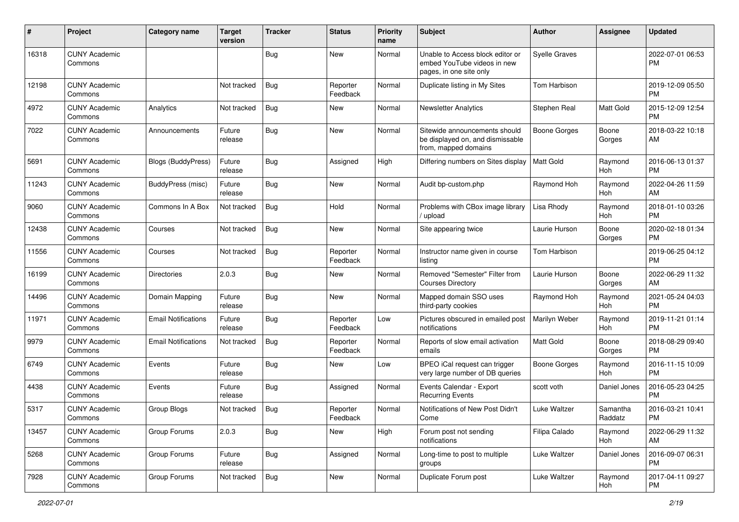| #     | Project                         | <b>Category name</b>       | <b>Target</b><br>version | Tracker    | <b>Status</b>        | Priority<br>name | <b>Subject</b>                                                                             | <b>Author</b>        | <b>Assignee</b>     | <b>Updated</b>                |
|-------|---------------------------------|----------------------------|--------------------------|------------|----------------------|------------------|--------------------------------------------------------------------------------------------|----------------------|---------------------|-------------------------------|
| 16318 | <b>CUNY Academic</b><br>Commons |                            |                          | <b>Bug</b> | <b>New</b>           | Normal           | Unable to Access block editor or<br>embed YouTube videos in new<br>pages, in one site only | <b>Syelle Graves</b> |                     | 2022-07-01 06:53<br>PM        |
| 12198 | <b>CUNY Academic</b><br>Commons |                            | Not tracked              | Bug        | Reporter<br>Feedback | Normal           | Duplicate listing in My Sites                                                              | Tom Harbison         |                     | 2019-12-09 05:50<br><b>PM</b> |
| 4972  | <b>CUNY Academic</b><br>Commons | Analytics                  | Not tracked              | Bug        | New                  | Normal           | <b>Newsletter Analytics</b>                                                                | Stephen Real         | Matt Gold           | 2015-12-09 12:54<br><b>PM</b> |
| 7022  | <b>CUNY Academic</b><br>Commons | Announcements              | Future<br>release        | Bug        | <b>New</b>           | Normal           | Sitewide announcements should<br>be displayed on, and dismissable<br>from, mapped domains  | <b>Boone Gorges</b>  | Boone<br>Gorges     | 2018-03-22 10:18<br>AM        |
| 5691  | <b>CUNY Academic</b><br>Commons | <b>Blogs (BuddyPress)</b>  | Future<br>release        | Bug        | Assigned             | High             | Differing numbers on Sites display                                                         | <b>Matt Gold</b>     | Raymond<br>Hoh      | 2016-06-13 01:37<br><b>PM</b> |
| 11243 | <b>CUNY Academic</b><br>Commons | BuddyPress (misc)          | Future<br>release        | Bug        | New                  | Normal           | Audit bp-custom.php                                                                        | Raymond Hoh          | Raymond<br>Hoh      | 2022-04-26 11:59<br>AM        |
| 9060  | <b>CUNY Academic</b><br>Commons | Commons In A Box           | Not tracked              | Bug        | Hold                 | Normal           | Problems with CBox image library<br>/ upload                                               | Lisa Rhody           | Raymond<br>Hoh      | 2018-01-10 03:26<br><b>PM</b> |
| 12438 | <b>CUNY Academic</b><br>Commons | Courses                    | Not tracked              | Bug        | New                  | Normal           | Site appearing twice                                                                       | Laurie Hurson        | Boone<br>Gorges     | 2020-02-18 01:34<br><b>PM</b> |
| 11556 | <b>CUNY Academic</b><br>Commons | Courses                    | Not tracked              | Bug        | Reporter<br>Feedback | Normal           | Instructor name given in course<br>listing                                                 | Tom Harbison         |                     | 2019-06-25 04:12<br><b>PM</b> |
| 16199 | <b>CUNY Academic</b><br>Commons | <b>Directories</b>         | 2.0.3                    | Bug        | New                  | Normal           | Removed "Semester" Filter from<br><b>Courses Directory</b>                                 | Laurie Hurson        | Boone<br>Gorges     | 2022-06-29 11:32<br>AM        |
| 14496 | <b>CUNY Academic</b><br>Commons | Domain Mapping             | Future<br>release        | <b>Bug</b> | New                  | Normal           | Mapped domain SSO uses<br>third-party cookies                                              | Raymond Hoh          | Raymond<br>Hoh      | 2021-05-24 04:03<br><b>PM</b> |
| 11971 | <b>CUNY Academic</b><br>Commons | <b>Email Notifications</b> | Future<br>release        | Bug        | Reporter<br>Feedback | Low              | Pictures obscured in emailed post<br>notifications                                         | Marilyn Weber        | Raymond<br>Hoh      | 2019-11-21 01:14<br><b>PM</b> |
| 9979  | <b>CUNY Academic</b><br>Commons | <b>Email Notifications</b> | Not tracked              | Bug        | Reporter<br>Feedback | Normal           | Reports of slow email activation<br>emails                                                 | Matt Gold            | Boone<br>Gorges     | 2018-08-29 09:40<br><b>PM</b> |
| 6749  | <b>CUNY Academic</b><br>Commons | Events                     | Future<br>release        | <b>Bug</b> | <b>New</b>           | Low              | BPEO iCal request can trigger<br>very large number of DB queries                           | <b>Boone Gorges</b>  | Raymond<br>Hoh      | 2016-11-15 10:09<br><b>PM</b> |
| 4438  | <b>CUNY Academic</b><br>Commons | Events                     | Future<br>release        | Bug        | Assigned             | Normal           | Events Calendar - Export<br><b>Recurring Events</b>                                        | scott voth           | Daniel Jones        | 2016-05-23 04:25<br><b>PM</b> |
| 5317  | <b>CUNY Academic</b><br>Commons | Group Blogs                | Not tracked              | Bug        | Reporter<br>Feedback | Normal           | Notifications of New Post Didn't<br>Come                                                   | Luke Waltzer         | Samantha<br>Raddatz | 2016-03-21 10:41<br>PM        |
| 13457 | <b>CUNY Academic</b><br>Commons | Group Forums               | 2.0.3                    | Bug        | New                  | High             | Forum post not sending<br>notifications                                                    | Filipa Calado        | Raymond<br>Hoh      | 2022-06-29 11:32<br>AM        |
| 5268  | <b>CUNY Academic</b><br>Commons | Group Forums               | Future<br>release        | <b>Bug</b> | Assigned             | Normal           | Long-time to post to multiple<br>groups                                                    | Luke Waltzer         | Daniel Jones        | 2016-09-07 06:31<br><b>PM</b> |
| 7928  | <b>CUNY Academic</b><br>Commons | Group Forums               | Not tracked              | <b>Bug</b> | New                  | Normal           | Duplicate Forum post                                                                       | Luke Waltzer         | Raymond<br>Hoh      | 2017-04-11 09:27<br><b>PM</b> |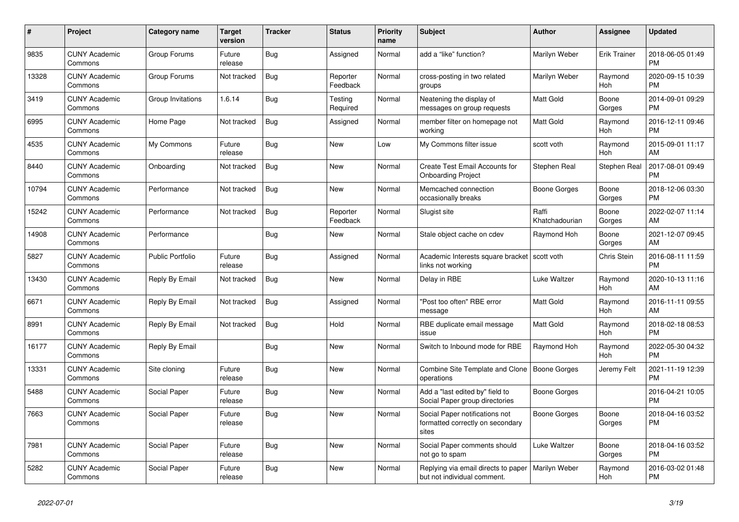| $\#$  | Project                         | <b>Category name</b>    | <b>Target</b><br>version | <b>Tracker</b> | <b>Status</b>        | Priority<br>name | <b>Subject</b>                                                              | <b>Author</b>           | <b>Assignee</b>     | <b>Updated</b>                |
|-------|---------------------------------|-------------------------|--------------------------|----------------|----------------------|------------------|-----------------------------------------------------------------------------|-------------------------|---------------------|-------------------------------|
| 9835  | <b>CUNY Academic</b><br>Commons | Group Forums            | Future<br>release        | Bug            | Assigned             | Normal           | add a "like" function?                                                      | Marilyn Weber           | <b>Erik Trainer</b> | 2018-06-05 01:49<br><b>PM</b> |
| 13328 | <b>CUNY Academic</b><br>Commons | Group Forums            | Not tracked              | Bug            | Reporter<br>Feedback | Normal           | cross-posting in two related<br>groups                                      | Marilyn Weber           | Raymond<br>Hoh      | 2020-09-15 10:39<br><b>PM</b> |
| 3419  | <b>CUNY Academic</b><br>Commons | Group Invitations       | 1.6.14                   | Bug            | Testing<br>Required  | Normal           | Neatening the display of<br>messages on group requests                      | Matt Gold               | Boone<br>Gorges     | 2014-09-01 09:29<br><b>PM</b> |
| 6995  | <b>CUNY Academic</b><br>Commons | Home Page               | Not tracked              | <b>Bug</b>     | Assigned             | Normal           | member filter on homepage not<br>working                                    | Matt Gold               | Raymond<br>Hoh      | 2016-12-11 09:46<br><b>PM</b> |
| 4535  | <b>CUNY Academic</b><br>Commons | My Commons              | Future<br>release        | Bug            | New                  | Low              | My Commons filter issue                                                     | scott voth              | Raymond<br>Hoh      | 2015-09-01 11:17<br>AM        |
| 8440  | <b>CUNY Academic</b><br>Commons | Onboarding              | Not tracked              | Bug            | New                  | Normal           | Create Test Email Accounts for<br><b>Onboarding Project</b>                 | Stephen Real            | Stephen Real        | 2017-08-01 09:49<br><b>PM</b> |
| 10794 | <b>CUNY Academic</b><br>Commons | Performance             | Not tracked              | Bug            | <b>New</b>           | Normal           | Memcached connection<br>occasionally breaks                                 | Boone Gorges            | Boone<br>Gorges     | 2018-12-06 03:30<br><b>PM</b> |
| 15242 | <b>CUNY Academic</b><br>Commons | Performance             | Not tracked              | Bug            | Reporter<br>Feedback | Normal           | Slugist site                                                                | Raffi<br>Khatchadourian | Boone<br>Gorges     | 2022-02-07 11:14<br>AM        |
| 14908 | <b>CUNY Academic</b><br>Commons | Performance             |                          | <b>Bug</b>     | New                  | Normal           | Stale object cache on cdev                                                  | Raymond Hoh             | Boone<br>Gorges     | 2021-12-07 09:45<br>AM        |
| 5827  | <b>CUNY Academic</b><br>Commons | <b>Public Portfolio</b> | Future<br>release        | Bug            | Assigned             | Normal           | Academic Interests square bracket<br>links not working                      | scott voth              | Chris Stein         | 2016-08-11 11:59<br><b>PM</b> |
| 13430 | <b>CUNY Academic</b><br>Commons | Reply By Email          | Not tracked              | Bug            | New                  | Normal           | Delay in RBE                                                                | Luke Waltzer            | Raymond<br>Hoh      | 2020-10-13 11:16<br>AM        |
| 6671  | <b>CUNY Academic</b><br>Commons | Reply By Email          | Not tracked              | Bug            | Assigned             | Normal           | "Post too often" RBE error<br>message                                       | Matt Gold               | Raymond<br>Hoh      | 2016-11-11 09:55<br>AM        |
| 8991  | <b>CUNY Academic</b><br>Commons | Reply By Email          | Not tracked              | <b>Bug</b>     | Hold                 | Normal           | RBE duplicate email message<br>issue                                        | <b>Matt Gold</b>        | Raymond<br>Hoh      | 2018-02-18 08:53<br><b>PM</b> |
| 16177 | <b>CUNY Academic</b><br>Commons | Reply By Email          |                          | <b>Bug</b>     | <b>New</b>           | Normal           | Switch to Inbound mode for RBE                                              | Raymond Hoh             | Raymond<br>Hoh      | 2022-05-30 04:32<br><b>PM</b> |
| 13331 | <b>CUNY Academic</b><br>Commons | Site cloning            | Future<br>release        | Bug            | New                  | Normal           | Combine Site Template and Clone<br>operations                               | Boone Gorges            | Jeremy Felt         | 2021-11-19 12:39<br><b>PM</b> |
| 5488  | <b>CUNY Academic</b><br>Commons | Social Paper            | Future<br>release        | Bug            | <b>New</b>           | Normal           | Add a "last edited by" field to<br>Social Paper group directories           | Boone Gorges            |                     | 2016-04-21 10:05<br><b>PM</b> |
| 7663  | <b>CUNY Academic</b><br>Commons | Social Paper            | Future<br>release        | <b>Bug</b>     | <b>New</b>           | Normal           | Social Paper notifications not<br>formatted correctly on secondary<br>sites | Boone Gorges            | Boone<br>Gorges     | 2018-04-16 03:52<br><b>PM</b> |
| 7981  | <b>CUNY Academic</b><br>Commons | Social Paper            | Future<br>release        | Bug            | New                  | Normal           | Social Paper comments should<br>not go to spam                              | Luke Waltzer            | Boone<br>Gorges     | 2018-04-16 03:52<br><b>PM</b> |
| 5282  | <b>CUNY Academic</b><br>Commons | Social Paper            | Future<br>release        | <b>Bug</b>     | <b>New</b>           | Normal           | Replying via email directs to paper<br>but not individual comment.          | Marilyn Weber           | Raymond<br>Hoh      | 2016-03-02 01:48<br><b>PM</b> |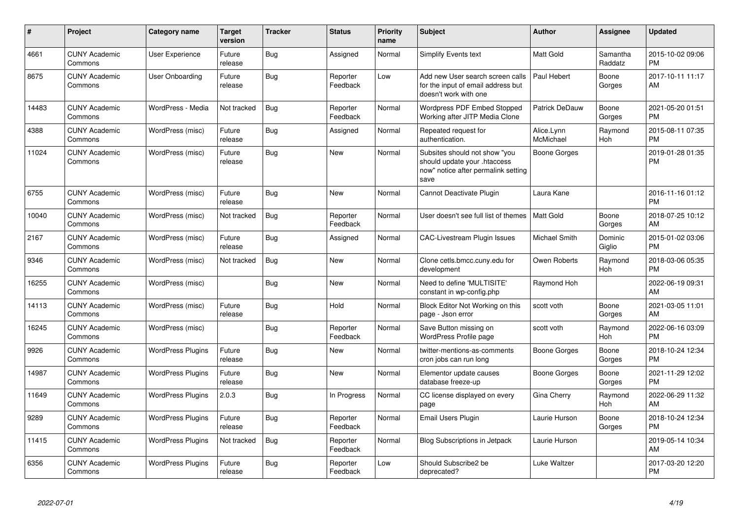| #     | Project                         | Category name            | <b>Target</b><br>version | <b>Tracker</b> | <b>Status</b>        | <b>Priority</b><br>name | <b>Subject</b>                                                                                               | <b>Author</b>           | <b>Assignee</b>     | <b>Updated</b>                |
|-------|---------------------------------|--------------------------|--------------------------|----------------|----------------------|-------------------------|--------------------------------------------------------------------------------------------------------------|-------------------------|---------------------|-------------------------------|
| 4661  | <b>CUNY Academic</b><br>Commons | User Experience          | Future<br>release        | Bug            | Assigned             | Normal                  | Simplify Events text                                                                                         | Matt Gold               | Samantha<br>Raddatz | 2015-10-02 09:06<br><b>PM</b> |
| 8675  | <b>CUNY Academic</b><br>Commons | User Onboarding          | Future<br>release        | Bug            | Reporter<br>Feedback | Low                     | Add new User search screen calls<br>for the input of email address but<br>doesn't work with one              | Paul Hebert             | Boone<br>Gorges     | 2017-10-11 11:17<br>AM        |
| 14483 | <b>CUNY Academic</b><br>Commons | WordPress - Media        | Not tracked              | <b>Bug</b>     | Reporter<br>Feedback | Normal                  | <b>Wordpress PDF Embed Stopped</b><br>Working after JITP Media Clone                                         | Patrick DeDauw          | Boone<br>Gorges     | 2021-05-20 01:51<br><b>PM</b> |
| 4388  | <b>CUNY Academic</b><br>Commons | WordPress (misc)         | Future<br>release        | Bug            | Assigned             | Normal                  | Repeated request for<br>authentication.                                                                      | Alice.Lynn<br>McMichael | Raymond<br>Hoh      | 2015-08-11 07:35<br><b>PM</b> |
| 11024 | <b>CUNY Academic</b><br>Commons | WordPress (misc)         | Future<br>release        | Bug            | <b>New</b>           | Normal                  | Subsites should not show "you<br>should update your .htaccess<br>now" notice after permalink setting<br>save | Boone Gorges            |                     | 2019-01-28 01:35<br><b>PM</b> |
| 6755  | <b>CUNY Academic</b><br>Commons | WordPress (misc)         | Future<br>release        | Bug            | <b>New</b>           | Normal                  | Cannot Deactivate Plugin                                                                                     | Laura Kane              |                     | 2016-11-16 01:12<br><b>PM</b> |
| 10040 | <b>CUNY Academic</b><br>Commons | WordPress (misc)         | Not tracked              | Bug            | Reporter<br>Feedback | Normal                  | User doesn't see full list of themes                                                                         | Matt Gold               | Boone<br>Gorges     | 2018-07-25 10:12<br>AM        |
| 2167  | <b>CUNY Academic</b><br>Commons | WordPress (misc)         | Future<br>release        | Bug            | Assigned             | Normal                  | CAC-Livestream Plugin Issues                                                                                 | Michael Smith           | Dominic<br>Giglio   | 2015-01-02 03:06<br><b>PM</b> |
| 9346  | <b>CUNY Academic</b><br>Commons | WordPress (misc)         | Not tracked              | Bug            | New                  | Normal                  | Clone cetls.bmcc.cuny.edu for<br>development                                                                 | Owen Roberts            | Raymond<br>Hoh      | 2018-03-06 05:35<br><b>PM</b> |
| 16255 | <b>CUNY Academic</b><br>Commons | WordPress (misc)         |                          | Bug            | <b>New</b>           | Normal                  | Need to define 'MULTISITE'<br>constant in wp-config.php                                                      | Raymond Hoh             |                     | 2022-06-19 09:31<br>AM        |
| 14113 | <b>CUNY Academic</b><br>Commons | WordPress (misc)         | Future<br>release        | Bug            | Hold                 | Normal                  | Block Editor Not Working on this<br>page - Json error                                                        | scott voth              | Boone<br>Gorges     | 2021-03-05 11:01<br>AM        |
| 16245 | <b>CUNY Academic</b><br>Commons | WordPress (misc)         |                          | Bug            | Reporter<br>Feedback | Normal                  | Save Button missing on<br>WordPress Profile page                                                             | scott voth              | Raymond<br>Hoh      | 2022-06-16 03:09<br><b>PM</b> |
| 9926  | <b>CUNY Academic</b><br>Commons | <b>WordPress Plugins</b> | Future<br>release        | Bug            | <b>New</b>           | Normal                  | twitter-mentions-as-comments<br>cron jobs can run long                                                       | Boone Gorges            | Boone<br>Gorges     | 2018-10-24 12:34<br><b>PM</b> |
| 14987 | <b>CUNY Academic</b><br>Commons | <b>WordPress Plugins</b> | Future<br>release        | Bug            | <b>New</b>           | Normal                  | Elementor update causes<br>database freeze-up                                                                | <b>Boone Gorges</b>     | Boone<br>Gorges     | 2021-11-29 12:02<br><b>PM</b> |
| 11649 | <b>CUNY Academic</b><br>Commons | <b>WordPress Plugins</b> | 2.0.3                    | Bug            | In Progress          | Normal                  | CC license displayed on every<br>page                                                                        | Gina Cherry             | Raymond<br>Hoh      | 2022-06-29 11:32<br>AM        |
| 9289  | <b>CUNY Academic</b><br>Commons | <b>WordPress Plugins</b> | Future<br>release        | Bug            | Reporter<br>Feedback | Normal                  | Email Users Plugin                                                                                           | Laurie Hurson           | Boone<br>Gorges     | 2018-10-24 12:34<br><b>PM</b> |
| 11415 | <b>CUNY Academic</b><br>Commons | <b>WordPress Plugins</b> | Not tracked              | Bug            | Reporter<br>Feedback | Normal                  | <b>Blog Subscriptions in Jetpack</b>                                                                         | Laurie Hurson           |                     | 2019-05-14 10:34<br>AM        |
| 6356  | <b>CUNY Academic</b><br>Commons | <b>WordPress Plugins</b> | Future<br>release        | Bug            | Reporter<br>Feedback | Low                     | Should Subscribe2 be<br>deprecated?                                                                          | Luke Waltzer            |                     | 2017-03-20 12:20<br><b>PM</b> |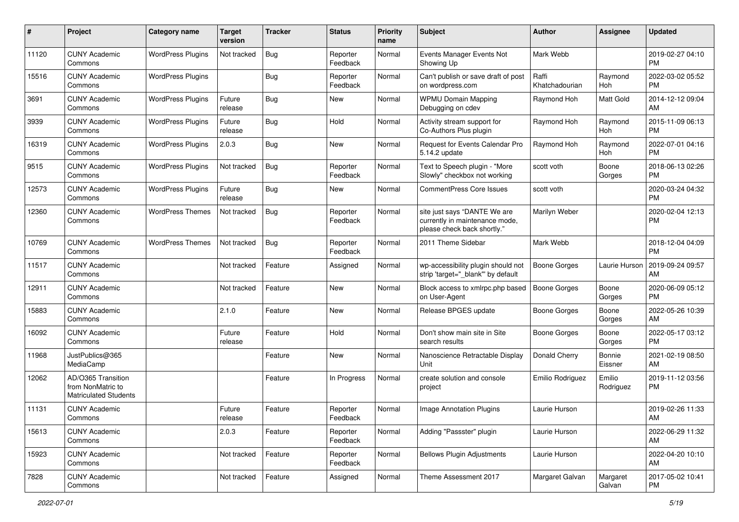| #     | Project                                                                 | <b>Category name</b>     | <b>Target</b><br>version | <b>Tracker</b> | <b>Status</b>        | Priority<br>name | <b>Subject</b>                                                                                | <b>Author</b>           | <b>Assignee</b>     | <b>Updated</b>                |
|-------|-------------------------------------------------------------------------|--------------------------|--------------------------|----------------|----------------------|------------------|-----------------------------------------------------------------------------------------------|-------------------------|---------------------|-------------------------------|
| 11120 | <b>CUNY Academic</b><br>Commons                                         | <b>WordPress Plugins</b> | Not tracked              | <b>Bug</b>     | Reporter<br>Feedback | Normal           | Events Manager Events Not<br>Showing Up                                                       | Mark Webb               |                     | 2019-02-27 04:10<br>PM.       |
| 15516 | <b>CUNY Academic</b><br>Commons                                         | <b>WordPress Plugins</b> |                          | <b>Bug</b>     | Reporter<br>Feedback | Normal           | Can't publish or save draft of post<br>on wordpress.com                                       | Raffi<br>Khatchadourian | Raymond<br>Hoh      | 2022-03-02 05:52<br><b>PM</b> |
| 3691  | <b>CUNY Academic</b><br>Commons                                         | <b>WordPress Plugins</b> | Future<br>release        | Bug            | New                  | Normal           | <b>WPMU Domain Mapping</b><br>Debugging on cdev                                               | Raymond Hoh             | Matt Gold           | 2014-12-12 09:04<br>AM        |
| 3939  | <b>CUNY Academic</b><br>Commons                                         | <b>WordPress Plugins</b> | Future<br>release        | Bug            | Hold                 | Normal           | Activity stream support for<br>Co-Authors Plus plugin                                         | Raymond Hoh             | Raymond<br>Hoh      | 2015-11-09 06:13<br><b>PM</b> |
| 16319 | <b>CUNY Academic</b><br>Commons                                         | <b>WordPress Plugins</b> | 2.0.3                    | <b>Bug</b>     | New                  | Normal           | <b>Request for Events Calendar Pro</b><br>5.14.2 update                                       | Raymond Hoh             | Raymond<br>Hoh      | 2022-07-01 04:16<br><b>PM</b> |
| 9515  | <b>CUNY Academic</b><br>Commons                                         | <b>WordPress Plugins</b> | Not tracked              | Bug            | Reporter<br>Feedback | Normal           | Text to Speech plugin - "More<br>Slowly" checkbox not working                                 | scott voth              | Boone<br>Gorges     | 2018-06-13 02:26<br><b>PM</b> |
| 12573 | <b>CUNY Academic</b><br>Commons                                         | <b>WordPress Plugins</b> | Future<br>release        | Bug            | New                  | Normal           | <b>CommentPress Core Issues</b>                                                               | scott voth              |                     | 2020-03-24 04:32<br><b>PM</b> |
| 12360 | <b>CUNY Academic</b><br>Commons                                         | <b>WordPress Themes</b>  | Not tracked              | Bug            | Reporter<br>Feedback | Normal           | site just says "DANTE We are<br>currently in maintenance mode,<br>please check back shortly." | Marilyn Weber           |                     | 2020-02-04 12:13<br>PM.       |
| 10769 | <b>CUNY Academic</b><br>Commons                                         | <b>WordPress Themes</b>  | Not tracked              | Bug            | Reporter<br>Feedback | Normal           | 2011 Theme Sidebar                                                                            | Mark Webb               |                     | 2018-12-04 04:09<br><b>PM</b> |
| 11517 | <b>CUNY Academic</b><br>Commons                                         |                          | Not tracked              | Feature        | Assigned             | Normal           | wp-accessibility plugin should not<br>strip 'target=" blank" by default                       | Boone Gorges            | Laurie Hurson       | 2019-09-24 09:57<br>AM        |
| 12911 | <b>CUNY Academic</b><br>Commons                                         |                          | Not tracked              | Feature        | New                  | Normal           | Block access to xmlrpc.php based<br>on User-Agent                                             | Boone Gorges            | Boone<br>Gorges     | 2020-06-09 05:12<br><b>PM</b> |
| 15883 | <b>CUNY Academic</b><br>Commons                                         |                          | 2.1.0                    | Feature        | <b>New</b>           | Normal           | Release BPGES update                                                                          | Boone Gorges            | Boone<br>Gorges     | 2022-05-26 10:39<br>AM        |
| 16092 | <b>CUNY Academic</b><br>Commons                                         |                          | Future<br>release        | Feature        | Hold                 | Normal           | Don't show main site in Site<br>search results                                                | Boone Gorges            | Boone<br>Gorges     | 2022-05-17 03:12<br><b>PM</b> |
| 11968 | JustPublics@365<br>MediaCamp                                            |                          |                          | Feature        | New                  | Normal           | Nanoscience Retractable Display<br>Unit                                                       | Donald Cherry           | Bonnie<br>Eissner   | 2021-02-19 08:50<br>AM.       |
| 12062 | AD/O365 Transition<br>from NonMatric to<br><b>Matriculated Students</b> |                          |                          | Feature        | In Progress          | Normal           | create solution and console<br>project                                                        | Emilio Rodriguez        | Emilio<br>Rodriguez | 2019-11-12 03:56<br><b>PM</b> |
| 11131 | <b>CUNY Academic</b><br>Commons                                         |                          | Future<br>release        | Feature        | Reporter<br>Feedback | Normal           | <b>Image Annotation Plugins</b>                                                               | Laurie Hurson           |                     | 2019-02-26 11:33<br>AM        |
| 15613 | <b>CUNY Academic</b><br>Commons                                         |                          | 2.0.3                    | Feature        | Reporter<br>Feedback | Normal           | Adding "Passster" plugin                                                                      | Laurie Hurson           |                     | 2022-06-29 11:32<br>AM        |
| 15923 | <b>CUNY Academic</b><br>Commons                                         |                          | Not tracked              | Feature        | Reporter<br>Feedback | Normal           | <b>Bellows Plugin Adjustments</b>                                                             | Laurie Hurson           |                     | 2022-04-20 10:10<br>AM        |
| 7828  | <b>CUNY Academic</b><br>Commons                                         |                          | Not tracked              | Feature        | Assigned             | Normal           | Theme Assessment 2017                                                                         | Margaret Galvan         | Margaret<br>Galvan  | 2017-05-02 10:41<br><b>PM</b> |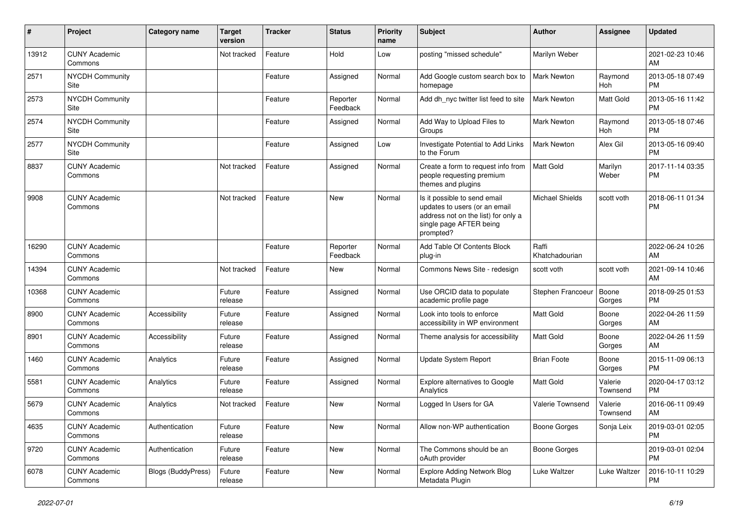| $\sharp$ | Project                         | Category name             | <b>Target</b><br>version | Tracker | <b>Status</b>        | <b>Priority</b><br>name | <b>Subject</b>                                                                                                                               | Author                  | <b>Assignee</b>     | <b>Updated</b>                |
|----------|---------------------------------|---------------------------|--------------------------|---------|----------------------|-------------------------|----------------------------------------------------------------------------------------------------------------------------------------------|-------------------------|---------------------|-------------------------------|
| 13912    | <b>CUNY Academic</b><br>Commons |                           | Not tracked              | Feature | Hold                 | Low                     | posting "missed schedule"                                                                                                                    | Marilyn Weber           |                     | 2021-02-23 10:46<br>AM        |
| 2571     | NYCDH Community<br>Site         |                           |                          | Feature | Assigned             | Normal                  | Add Google custom search box to<br>homepage                                                                                                  | Mark Newton             | Raymond<br>Hoh      | 2013-05-18 07:49<br><b>PM</b> |
| 2573     | <b>NYCDH Community</b><br>Site  |                           |                          | Feature | Reporter<br>Feedback | Normal                  | Add dh_nyc twitter list feed to site                                                                                                         | <b>Mark Newton</b>      | Matt Gold           | 2013-05-16 11:42<br><b>PM</b> |
| 2574     | <b>NYCDH Community</b><br>Site  |                           |                          | Feature | Assigned             | Normal                  | Add Way to Upload Files to<br>Groups                                                                                                         | <b>Mark Newton</b>      | Raymond<br>Hoh      | 2013-05-18 07:46<br><b>PM</b> |
| 2577     | <b>NYCDH Community</b><br>Site  |                           |                          | Feature | Assigned             | Low                     | Investigate Potential to Add Links<br>to the Forum                                                                                           | <b>Mark Newton</b>      | Alex Gil            | 2013-05-16 09:40<br><b>PM</b> |
| 8837     | <b>CUNY Academic</b><br>Commons |                           | Not tracked              | Feature | Assigned             | Normal                  | Create a form to request info from<br>people requesting premium<br>themes and plugins                                                        | Matt Gold               | Marilyn<br>Weber    | 2017-11-14 03:35<br><b>PM</b> |
| 9908     | <b>CUNY Academic</b><br>Commons |                           | Not tracked              | Feature | New                  | Normal                  | Is it possible to send email<br>updates to users (or an email<br>address not on the list) for only a<br>single page AFTER being<br>prompted? | <b>Michael Shields</b>  | scott voth          | 2018-06-11 01:34<br><b>PM</b> |
| 16290    | <b>CUNY Academic</b><br>Commons |                           |                          | Feature | Reporter<br>Feedback | Normal                  | Add Table Of Contents Block<br>plug-in                                                                                                       | Raffi<br>Khatchadourian |                     | 2022-06-24 10:26<br>AM        |
| 14394    | <b>CUNY Academic</b><br>Commons |                           | Not tracked              | Feature | New                  | Normal                  | Commons News Site - redesign                                                                                                                 | scott voth              | scott voth          | 2021-09-14 10:46<br>AM        |
| 10368    | <b>CUNY Academic</b><br>Commons |                           | Future<br>release        | Feature | Assigned             | Normal                  | Use ORCID data to populate<br>academic profile page                                                                                          | Stephen Francoeur       | Boone<br>Gorges     | 2018-09-25 01:53<br><b>PM</b> |
| 8900     | <b>CUNY Academic</b><br>Commons | Accessibility             | Future<br>release        | Feature | Assigned             | Normal                  | Look into tools to enforce<br>accessibility in WP environment                                                                                | Matt Gold               | Boone<br>Gorges     | 2022-04-26 11:59<br>AM        |
| 8901     | <b>CUNY Academic</b><br>Commons | Accessibility             | Future<br>release        | Feature | Assigned             | Normal                  | Theme analysis for accessibility                                                                                                             | Matt Gold               | Boone<br>Gorges     | 2022-04-26 11:59<br>AM        |
| 1460     | <b>CUNY Academic</b><br>Commons | Analytics                 | Future<br>release        | Feature | Assigned             | Normal                  | Update System Report                                                                                                                         | <b>Brian Foote</b>      | Boone<br>Gorges     | 2015-11-09 06:13<br><b>PM</b> |
| 5581     | <b>CUNY Academic</b><br>Commons | Analytics                 | Future<br>release        | Feature | Assigned             | Normal                  | Explore alternatives to Google<br>Analytics                                                                                                  | Matt Gold               | Valerie<br>Townsend | 2020-04-17 03:12<br><b>PM</b> |
| 5679     | <b>CUNY Academic</b><br>Commons | Analytics                 | Not tracked              | Feature | <b>New</b>           | Normal                  | Logged In Users for GA                                                                                                                       | <b>Valerie Townsend</b> | Valerie<br>Townsend | 2016-06-11 09:49<br>AM        |
| 4635     | <b>CUNY Academic</b><br>Commons | Authentication            | Future<br>release        | Feature | New                  | Normal                  | Allow non-WP authentication                                                                                                                  | <b>Boone Gorges</b>     | Sonja Leix          | 2019-03-01 02:05<br><b>PM</b> |
| 9720     | <b>CUNY Academic</b><br>Commons | Authentication            | Future<br>release        | Feature | New                  | Normal                  | The Commons should be an<br>oAuth provider                                                                                                   | <b>Boone Gorges</b>     |                     | 2019-03-01 02:04<br><b>PM</b> |
| 6078     | <b>CUNY Academic</b><br>Commons | <b>Blogs (BuddyPress)</b> | Future<br>release        | Feature | New                  | Normal                  | Explore Adding Network Blog<br>Metadata Plugin                                                                                               | Luke Waltzer            | Luke Waltzer        | 2016-10-11 10:29<br>PM        |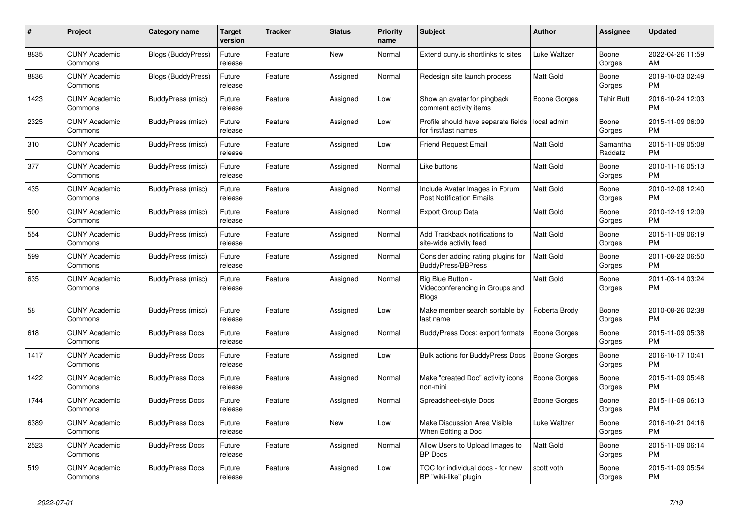| #    | Project                         | <b>Category name</b>      | Target<br>version | <b>Tracker</b> | <b>Status</b> | Priority<br>name | <b>Subject</b>                                                       | <b>Author</b>       | Assignee            | <b>Updated</b>                |
|------|---------------------------------|---------------------------|-------------------|----------------|---------------|------------------|----------------------------------------------------------------------|---------------------|---------------------|-------------------------------|
| 8835 | <b>CUNY Academic</b><br>Commons | Blogs (BuddyPress)        | Future<br>release | Feature        | New           | Normal           | Extend cuny is shortlinks to sites                                   | Luke Waltzer        | Boone<br>Gorges     | 2022-04-26 11:59<br>AM.       |
| 8836 | <b>CUNY Academic</b><br>Commons | <b>Blogs (BuddyPress)</b> | Future<br>release | Feature        | Assigned      | Normal           | Redesign site launch process                                         | Matt Gold           | Boone<br>Gorges     | 2019-10-03 02:49<br><b>PM</b> |
| 1423 | <b>CUNY Academic</b><br>Commons | BuddyPress (misc)         | Future<br>release | Feature        | Assigned      | Low              | Show an avatar for pingback<br>comment activity items                | Boone Gorges        | Tahir Butt          | 2016-10-24 12:03<br><b>PM</b> |
| 2325 | <b>CUNY Academic</b><br>Commons | BuddyPress (misc)         | Future<br>release | Feature        | Assigned      | Low              | Profile should have separate fields<br>for first/last names          | local admin         | Boone<br>Gorges     | 2015-11-09 06:09<br><b>PM</b> |
| 310  | <b>CUNY Academic</b><br>Commons | BuddyPress (misc)         | Future<br>release | Feature        | Assigned      | Low              | <b>Friend Request Email</b>                                          | Matt Gold           | Samantha<br>Raddatz | 2015-11-09 05:08<br><b>PM</b> |
| 377  | <b>CUNY Academic</b><br>Commons | BuddyPress (misc)         | Future<br>release | Feature        | Assigned      | Normal           | Like buttons                                                         | Matt Gold           | Boone<br>Gorges     | 2010-11-16 05:13<br><b>PM</b> |
| 435  | <b>CUNY Academic</b><br>Commons | BuddyPress (misc)         | Future<br>release | Feature        | Assigned      | Normal           | Include Avatar Images in Forum<br><b>Post Notification Emails</b>    | <b>Matt Gold</b>    | Boone<br>Gorges     | 2010-12-08 12:40<br><b>PM</b> |
| 500  | <b>CUNY Academic</b><br>Commons | BuddyPress (misc)         | Future<br>release | Feature        | Assigned      | Normal           | <b>Export Group Data</b>                                             | <b>Matt Gold</b>    | Boone<br>Gorges     | 2010-12-19 12:09<br>PM.       |
| 554  | <b>CUNY Academic</b><br>Commons | BuddyPress (misc)         | Future<br>release | Feature        | Assigned      | Normal           | Add Trackback notifications to<br>site-wide activity feed            | Matt Gold           | Boone<br>Gorges     | 2015-11-09 06:19<br><b>PM</b> |
| 599  | <b>CUNY Academic</b><br>Commons | BuddyPress (misc)         | Future<br>release | Feature        | Assigned      | Normal           | Consider adding rating plugins for<br><b>BuddyPress/BBPress</b>      | <b>Matt Gold</b>    | Boone<br>Gorges     | 2011-08-22 06:50<br><b>PM</b> |
| 635  | <b>CUNY Academic</b><br>Commons | BuddyPress (misc)         | Future<br>release | Feature        | Assigned      | Normal           | Big Blue Button -<br>Videoconferencing in Groups and<br><b>Blogs</b> | Matt Gold           | Boone<br>Gorges     | 2011-03-14 03:24<br><b>PM</b> |
| 58   | <b>CUNY Academic</b><br>Commons | BuddyPress (misc)         | Future<br>release | Feature        | Assigned      | Low              | Make member search sortable by<br>last name                          | Roberta Brody       | Boone<br>Gorges     | 2010-08-26 02:38<br><b>PM</b> |
| 618  | <b>CUNY Academic</b><br>Commons | <b>BuddyPress Docs</b>    | Future<br>release | Feature        | Assigned      | Normal           | BuddyPress Docs: export formats                                      | <b>Boone Gorges</b> | Boone<br>Gorges     | 2015-11-09 05:38<br><b>PM</b> |
| 1417 | <b>CUNY Academic</b><br>Commons | <b>BuddyPress Docs</b>    | Future<br>release | Feature        | Assigned      | Low              | <b>Bulk actions for BuddyPress Docs</b>                              | Boone Gorges        | Boone<br>Gorges     | 2016-10-17 10:41<br><b>PM</b> |
| 1422 | <b>CUNY Academic</b><br>Commons | <b>BuddyPress Docs</b>    | Future<br>release | Feature        | Assigned      | Normal           | Make "created Doc" activity icons<br>non-mini                        | Boone Gorges        | Boone<br>Gorges     | 2015-11-09 05:48<br><b>PM</b> |
| 1744 | <b>CUNY Academic</b><br>Commons | <b>BuddyPress Docs</b>    | Future<br>release | Feature        | Assigned      | Normal           | Spreadsheet-style Docs                                               | Boone Gorges        | Boone<br>Gorges     | 2015-11-09 06:13<br><b>PM</b> |
| 6389 | <b>CUNY Academic</b><br>Commons | <b>BuddyPress Docs</b>    | Future<br>release | Feature        | <b>New</b>    | Low              | <b>Make Discussion Area Visible</b><br>When Editing a Doc            | Luke Waltzer        | Boone<br>Gorges     | 2016-10-21 04:16<br><b>PM</b> |
| 2523 | <b>CUNY Academic</b><br>Commons | <b>BuddyPress Docs</b>    | Future<br>release | Feature        | Assigned      | Normal           | Allow Users to Upload Images to<br><b>BP</b> Docs                    | Matt Gold           | Boone<br>Gorges     | 2015-11-09 06:14<br><b>PM</b> |
| 519  | <b>CUNY Academic</b><br>Commons | <b>BuddyPress Docs</b>    | Future<br>release | Feature        | Assigned      | Low              | TOC for individual docs - for new<br>BP "wiki-like" plugin           | scott voth          | Boone<br>Gorges     | 2015-11-09 05:54<br><b>PM</b> |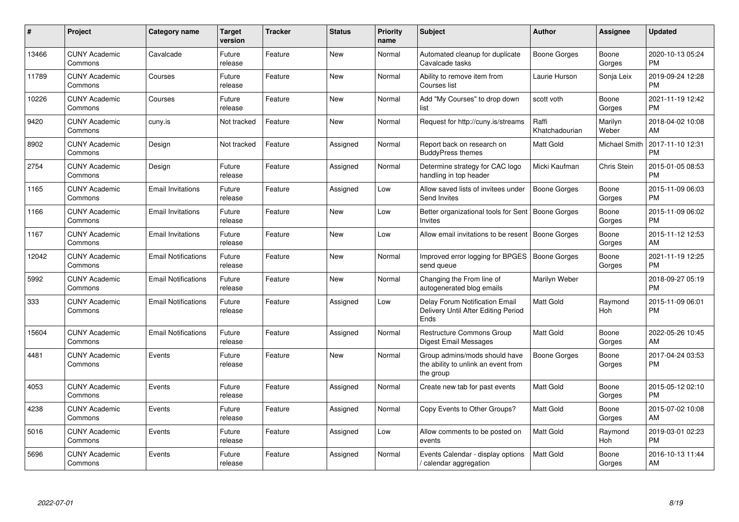| #     | Project                         | <b>Category name</b>       | Target<br>version | <b>Tracker</b> | <b>Status</b> | <b>Priority</b><br>name | <b>Subject</b>                                                                    | <b>Author</b>           | Assignee             | <b>Updated</b>                |
|-------|---------------------------------|----------------------------|-------------------|----------------|---------------|-------------------------|-----------------------------------------------------------------------------------|-------------------------|----------------------|-------------------------------|
| 13466 | <b>CUNY Academic</b><br>Commons | Cavalcade                  | Future<br>release | Feature        | <b>New</b>    | Normal                  | Automated cleanup for duplicate<br>Cavalcade tasks                                | Boone Gorges            | Boone<br>Gorges      | 2020-10-13 05:24<br><b>PM</b> |
| 11789 | <b>CUNY Academic</b><br>Commons | Courses                    | Future<br>release | Feature        | New           | Normal                  | Ability to remove item from<br>Courses list                                       | Laurie Hurson           | Sonja Leix           | 2019-09-24 12:28<br><b>PM</b> |
| 10226 | <b>CUNY Academic</b><br>Commons | Courses                    | Future<br>release | Feature        | New           | Normal                  | Add "My Courses" to drop down<br>list                                             | scott voth              | Boone<br>Gorges      | 2021-11-19 12:42<br><b>PM</b> |
| 9420  | <b>CUNY Academic</b><br>Commons | cuny.is                    | Not tracked       | Feature        | <b>New</b>    | Normal                  | Request for http://cuny.is/streams                                                | Raffi<br>Khatchadourian | Marilyn<br>Weber     | 2018-04-02 10:08<br>AM        |
| 8902  | <b>CUNY Academic</b><br>Commons | Design                     | Not tracked       | Feature        | Assigned      | Normal                  | Report back on research on<br><b>BuddyPress themes</b>                            | <b>Matt Gold</b>        | <b>Michael Smith</b> | 2017-11-10 12:31<br><b>PM</b> |
| 2754  | <b>CUNY Academic</b><br>Commons | Design                     | Future<br>release | Feature        | Assigned      | Normal                  | Determine strategy for CAC logo<br>handling in top header                         | Micki Kaufman           | Chris Stein          | 2015-01-05 08:53<br><b>PM</b> |
| 1165  | <b>CUNY Academic</b><br>Commons | <b>Email Invitations</b>   | Future<br>release | Feature        | Assigned      | Low                     | Allow saved lists of invitees under<br><b>Send Invites</b>                        | Boone Gorges            | Boone<br>Gorges      | 2015-11-09 06:03<br><b>PM</b> |
| 1166  | <b>CUNY Academic</b><br>Commons | <b>Email Invitations</b>   | Future<br>release | Feature        | <b>New</b>    | Low                     | Better organizational tools for Sent<br>Invites                                   | Boone Gorges            | Boone<br>Gorges      | 2015-11-09 06:02<br><b>PM</b> |
| 1167  | <b>CUNY Academic</b><br>Commons | <b>Email Invitations</b>   | Future<br>release | Feature        | New           | Low                     | Allow email invitations to be resent                                              | <b>Boone Gorges</b>     | Boone<br>Gorges      | 2015-11-12 12:53<br>AM        |
| 12042 | <b>CUNY Academic</b><br>Commons | <b>Email Notifications</b> | Future<br>release | Feature        | <b>New</b>    | Normal                  | Improved error logging for BPGES<br>send queue                                    | Boone Gorges            | Boone<br>Gorges      | 2021-11-19 12:25<br><b>PM</b> |
| 5992  | <b>CUNY Academic</b><br>Commons | <b>Email Notifications</b> | Future<br>release | Feature        | <b>New</b>    | Normal                  | Changing the From line of<br>autogenerated blog emails                            | Marilyn Weber           |                      | 2018-09-27 05:19<br><b>PM</b> |
| 333   | <b>CUNY Academic</b><br>Commons | <b>Email Notifications</b> | Future<br>release | Feature        | Assigned      | Low                     | Delay Forum Notification Email<br>Delivery Until After Editing Period<br>Ends     | <b>Matt Gold</b>        | Raymond<br>Hoh       | 2015-11-09 06:01<br>PM        |
| 15604 | <b>CUNY Academic</b><br>Commons | <b>Email Notifications</b> | Future<br>release | Feature        | Assigned      | Normal                  | Restructure Commons Group<br><b>Digest Email Messages</b>                         | <b>Matt Gold</b>        | Boone<br>Gorges      | 2022-05-26 10:45<br>AM        |
| 4481  | <b>CUNY Academic</b><br>Commons | Events                     | Future<br>release | Feature        | New           | Normal                  | Group admins/mods should have<br>the ability to unlink an event from<br>the group | Boone Gorges            | Boone<br>Gorges      | 2017-04-24 03:53<br><b>PM</b> |
| 4053  | <b>CUNY Academic</b><br>Commons | Events                     | Future<br>release | Feature        | Assigned      | Normal                  | Create new tab for past events                                                    | <b>Matt Gold</b>        | Boone<br>Gorges      | 2015-05-12 02:10<br><b>PM</b> |
| 4238  | <b>CUNY Academic</b><br>Commons | Events                     | Future<br>release | Feature        | Assigned      | Normal                  | Copy Events to Other Groups?                                                      | <b>Matt Gold</b>        | Boone<br>Gorges      | 2015-07-02 10:08<br>AM        |
| 5016  | <b>CUNY Academic</b><br>Commons | Events                     | Future<br>release | Feature        | Assigned      | Low                     | Allow comments to be posted on<br>events                                          | <b>Matt Gold</b>        | Raymond<br>Hoh       | 2019-03-01 02:23<br><b>PM</b> |
| 5696  | <b>CUNY Academic</b><br>Commons | Events                     | Future<br>release | Feature        | Assigned      | Normal                  | Events Calendar - display options<br>calendar aggregation /                       | <b>Matt Gold</b>        | Boone<br>Gorges      | 2016-10-13 11:44<br>AM        |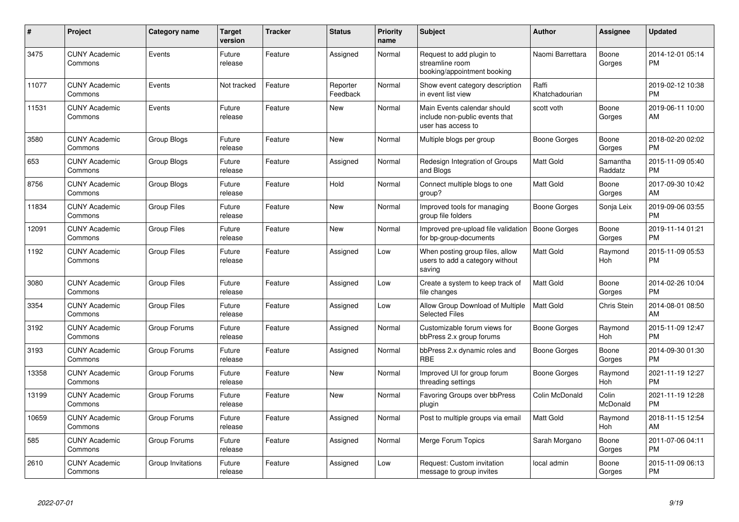| #     | Project                         | Category name      | <b>Target</b><br>version | <b>Tracker</b> | <b>Status</b>        | Priority<br>name | <b>Subject</b>                                                                      | <b>Author</b>           | <b>Assignee</b>     | <b>Updated</b>                |
|-------|---------------------------------|--------------------|--------------------------|----------------|----------------------|------------------|-------------------------------------------------------------------------------------|-------------------------|---------------------|-------------------------------|
| 3475  | <b>CUNY Academic</b><br>Commons | Events             | Future<br>release        | Feature        | Assigned             | Normal           | Request to add plugin to<br>streamline room<br>booking/appointment booking          | Naomi Barrettara        | Boone<br>Gorges     | 2014-12-01 05:14<br><b>PM</b> |
| 11077 | <b>CUNY Academic</b><br>Commons | Events             | Not tracked              | Feature        | Reporter<br>Feedback | Normal           | Show event category description<br>in event list view                               | Raffi<br>Khatchadourian |                     | 2019-02-12 10:38<br><b>PM</b> |
| 11531 | <b>CUNY Academic</b><br>Commons | Events             | Future<br>release        | Feature        | New                  | Normal           | Main Events calendar should<br>include non-public events that<br>user has access to | scott voth              | Boone<br>Gorges     | 2019-06-11 10:00<br>AM        |
| 3580  | <b>CUNY Academic</b><br>Commons | Group Blogs        | Future<br>release        | Feature        | <b>New</b>           | Normal           | Multiple blogs per group                                                            | Boone Gorges            | Boone<br>Gorges     | 2018-02-20 02:02<br><b>PM</b> |
| 653   | <b>CUNY Academic</b><br>Commons | Group Blogs        | Future<br>release        | Feature        | Assigned             | Normal           | Redesign Integration of Groups<br>and Blogs                                         | <b>Matt Gold</b>        | Samantha<br>Raddatz | 2015-11-09 05:40<br><b>PM</b> |
| 8756  | <b>CUNY Academic</b><br>Commons | Group Blogs        | Future<br>release        | Feature        | Hold                 | Normal           | Connect multiple blogs to one<br>group?                                             | <b>Matt Gold</b>        | Boone<br>Gorges     | 2017-09-30 10:42<br>AM        |
| 11834 | <b>CUNY Academic</b><br>Commons | <b>Group Files</b> | Future<br>release        | Feature        | <b>New</b>           | Normal           | Improved tools for managing<br>group file folders                                   | Boone Gorges            | Sonja Leix          | 2019-09-06 03:55<br><b>PM</b> |
| 12091 | <b>CUNY Academic</b><br>Commons | <b>Group Files</b> | Future<br>release        | Feature        | New                  | Normal           | Improved pre-upload file validation<br>for bp-group-documents                       | <b>Boone Gorges</b>     | Boone<br>Gorges     | 2019-11-14 01:21<br><b>PM</b> |
| 1192  | <b>CUNY Academic</b><br>Commons | <b>Group Files</b> | Future<br>release        | Feature        | Assigned             | Low              | When posting group files, allow<br>users to add a category without<br>saving        | <b>Matt Gold</b>        | Raymond<br>Hoh      | 2015-11-09 05:53<br><b>PM</b> |
| 3080  | <b>CUNY Academic</b><br>Commons | <b>Group Files</b> | Future<br>release        | Feature        | Assigned             | Low              | Create a system to keep track of<br>file changes                                    | <b>Matt Gold</b>        | Boone<br>Gorges     | 2014-02-26 10:04<br><b>PM</b> |
| 3354  | <b>CUNY Academic</b><br>Commons | <b>Group Files</b> | Future<br>release        | Feature        | Assigned             | Low              | Allow Group Download of Multiple<br><b>Selected Files</b>                           | <b>Matt Gold</b>        | <b>Chris Stein</b>  | 2014-08-01 08:50<br>AM        |
| 3192  | <b>CUNY Academic</b><br>Commons | Group Forums       | Future<br>release        | Feature        | Assigned             | Normal           | Customizable forum views for<br>bbPress 2.x group forums                            | Boone Gorges            | Raymond<br>Hoh      | 2015-11-09 12:47<br><b>PM</b> |
| 3193  | <b>CUNY Academic</b><br>Commons | Group Forums       | Future<br>release        | Feature        | Assigned             | Normal           | bbPress 2.x dynamic roles and<br><b>RBE</b>                                         | Boone Gorges            | Boone<br>Gorges     | 2014-09-30 01:30<br><b>PM</b> |
| 13358 | <b>CUNY Academic</b><br>Commons | Group Forums       | Future<br>release        | Feature        | <b>New</b>           | Normal           | Improved UI for group forum<br>threading settings                                   | <b>Boone Gorges</b>     | Raymond<br>Hoh      | 2021-11-19 12:27<br><b>PM</b> |
| 13199 | <b>CUNY Academic</b><br>Commons | Group Forums       | Future<br>release        | Feature        | <b>New</b>           | Normal           | Favoring Groups over bbPress<br>plugin                                              | Colin McDonald          | Colin<br>McDonald   | 2021-11-19 12:28<br><b>PM</b> |
| 10659 | <b>CUNY Academic</b><br>Commons | Group Forums       | Future<br>release        | Feature        | Assigned             | Normal           | Post to multiple groups via email                                                   | <b>Matt Gold</b>        | Raymond<br>Hoh      | 2018-11-15 12:54<br>AM        |
| 585   | <b>CUNY Academic</b><br>Commons | Group Forums       | Future<br>release        | Feature        | Assigned             | Normal           | <b>Merge Forum Topics</b>                                                           | Sarah Morgano           | Boone<br>Gorges     | 2011-07-06 04:11<br><b>PM</b> |
| 2610  | <b>CUNY Academic</b><br>Commons | Group Invitations  | Future<br>release        | Feature        | Assigned             | Low              | Request: Custom invitation<br>message to group invites                              | local admin             | Boone<br>Gorges     | 2015-11-09 06:13<br><b>PM</b> |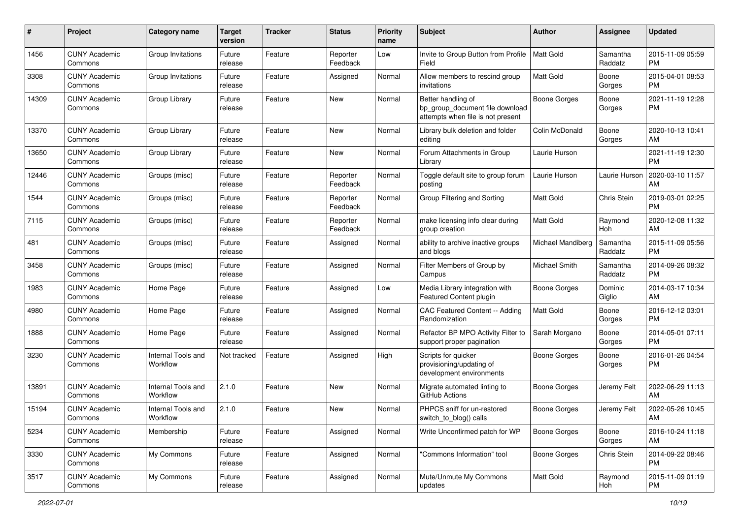| #     | Project                         | <b>Category name</b>           | <b>Target</b><br>version | <b>Tracker</b> | <b>Status</b>        | <b>Priority</b><br>name | <b>Subject</b>                                                                             | Author              | Assignee            | <b>Updated</b>                |
|-------|---------------------------------|--------------------------------|--------------------------|----------------|----------------------|-------------------------|--------------------------------------------------------------------------------------------|---------------------|---------------------|-------------------------------|
| 1456  | <b>CUNY Academic</b><br>Commons | Group Invitations              | Future<br>release        | Feature        | Reporter<br>Feedback | Low                     | Invite to Group Button from Profile<br>Field                                               | Matt Gold           | Samantha<br>Raddatz | 2015-11-09 05:59<br>PM        |
| 3308  | <b>CUNY Academic</b><br>Commons | Group Invitations              | Future<br>release        | Feature        | Assigned             | Normal                  | Allow members to rescind group<br>invitations                                              | <b>Matt Gold</b>    | Boone<br>Gorges     | 2015-04-01 08:53<br><b>PM</b> |
| 14309 | <b>CUNY Academic</b><br>Commons | Group Library                  | Future<br>release        | Feature        | New                  | Normal                  | Better handling of<br>bp_group_document file download<br>attempts when file is not present | Boone Gorges        | Boone<br>Gorges     | 2021-11-19 12:28<br>PM        |
| 13370 | <b>CUNY Academic</b><br>Commons | Group Library                  | Future<br>release        | Feature        | New                  | Normal                  | Library bulk deletion and folder<br>editing                                                | Colin McDonald      | Boone<br>Gorges     | 2020-10-13 10:41<br>AM        |
| 13650 | <b>CUNY Academic</b><br>Commons | Group Library                  | Future<br>release        | Feature        | New                  | Normal                  | Forum Attachments in Group<br>Library                                                      | Laurie Hurson       |                     | 2021-11-19 12:30<br><b>PM</b> |
| 12446 | <b>CUNY Academic</b><br>Commons | Groups (misc)                  | Future<br>release        | Feature        | Reporter<br>Feedback | Normal                  | Toggle default site to group forum<br>posting                                              | Laurie Hurson       | Laurie Hurson       | 2020-03-10 11:57<br>AM        |
| 1544  | <b>CUNY Academic</b><br>Commons | Groups (misc)                  | Future<br>release        | Feature        | Reporter<br>Feedback | Normal                  | Group Filtering and Sorting                                                                | Matt Gold           | Chris Stein         | 2019-03-01 02:25<br><b>PM</b> |
| 7115  | <b>CUNY Academic</b><br>Commons | Groups (misc)                  | Future<br>release        | Feature        | Reporter<br>Feedback | Normal                  | make licensing info clear during<br>group creation                                         | <b>Matt Gold</b>    | Raymond<br>Hoh      | 2020-12-08 11:32<br>AM        |
| 481   | <b>CUNY Academic</b><br>Commons | Groups (misc)                  | Future<br>release        | Feature        | Assigned             | Normal                  | ability to archive inactive groups<br>and blogs                                            | Michael Mandiberg   | Samantha<br>Raddatz | 2015-11-09 05:56<br>PM        |
| 3458  | <b>CUNY Academic</b><br>Commons | Groups (misc)                  | Future<br>release        | Feature        | Assigned             | Normal                  | Filter Members of Group by<br>Campus                                                       | Michael Smith       | Samantha<br>Raddatz | 2014-09-26 08:32<br><b>PM</b> |
| 1983  | <b>CUNY Academic</b><br>Commons | Home Page                      | Future<br>release        | Feature        | Assigned             | Low                     | Media Library integration with<br>Featured Content plugin                                  | <b>Boone Gorges</b> | Dominic<br>Giglio   | 2014-03-17 10:34<br>AM        |
| 4980  | <b>CUNY Academic</b><br>Commons | Home Page                      | Future<br>release        | Feature        | Assigned             | Normal                  | CAC Featured Content -- Adding<br>Randomization                                            | <b>Matt Gold</b>    | Boone<br>Gorges     | 2016-12-12 03:01<br><b>PM</b> |
| 1888  | <b>CUNY Academic</b><br>Commons | Home Page                      | Future<br>release        | Feature        | Assigned             | Normal                  | Refactor BP MPO Activity Filter to<br>support proper pagination                            | Sarah Morgano       | Boone<br>Gorges     | 2014-05-01 07:11<br><b>PM</b> |
| 3230  | <b>CUNY Academic</b><br>Commons | Internal Tools and<br>Workflow | Not tracked              | Feature        | Assigned             | High                    | Scripts for quicker<br>provisioning/updating of<br>development environments                | Boone Gorges        | Boone<br>Gorges     | 2016-01-26 04:54<br><b>PM</b> |
| 13891 | <b>CUNY Academic</b><br>Commons | Internal Tools and<br>Workflow | 2.1.0                    | Feature        | New                  | Normal                  | Migrate automated linting to<br>GitHub Actions                                             | Boone Gorges        | Jeremy Felt         | 2022-06-29 11:13<br>AM        |
| 15194 | <b>CUNY Academic</b><br>Commons | Internal Tools and<br>Workflow | 2.1.0                    | Feature        | New                  | Normal                  | PHPCS sniff for un-restored<br>switch_to_blog() calls                                      | Boone Gorges        | Jeremy Felt         | 2022-05-26 10:45<br>AM        |
| 5234  | <b>CUNY Academic</b><br>Commons | Membership                     | Future<br>release        | Feature        | Assigned             | Normal                  | Write Unconfirmed patch for WP                                                             | Boone Gorges        | Boone<br>Gorges     | 2016-10-24 11:18<br>AM        |
| 3330  | <b>CUNY Academic</b><br>Commons | My Commons                     | Future<br>release        | Feature        | Assigned             | Normal                  | "Commons Information" tool                                                                 | Boone Gorges        | Chris Stein         | 2014-09-22 08:46<br><b>PM</b> |
| 3517  | <b>CUNY Academic</b><br>Commons | My Commons                     | Future<br>release        | Feature        | Assigned             | Normal                  | Mute/Unmute My Commons<br>updates                                                          | Matt Gold           | Raymond<br>Hoh      | 2015-11-09 01:19<br>PM        |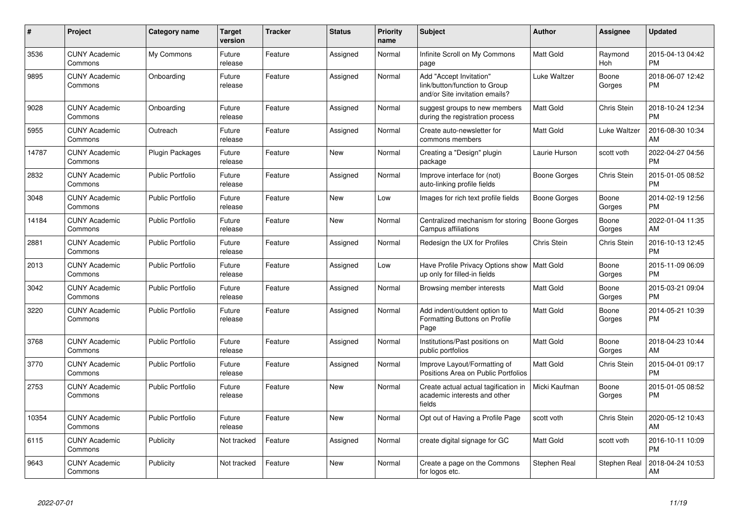| #     | <b>Project</b>                  | Category name           | <b>Target</b><br>version | <b>Tracker</b> | <b>Status</b> | <b>Priority</b><br>name | <b>Subject</b>                                                                             | <b>Author</b>    | Assignee        | <b>Updated</b>                |
|-------|---------------------------------|-------------------------|--------------------------|----------------|---------------|-------------------------|--------------------------------------------------------------------------------------------|------------------|-----------------|-------------------------------|
| 3536  | <b>CUNY Academic</b><br>Commons | My Commons              | Future<br>release        | Feature        | Assigned      | Normal                  | Infinite Scroll on My Commons<br>page                                                      | Matt Gold        | Raymond<br>Hoh  | 2015-04-13 04:42<br><b>PM</b> |
| 9895  | <b>CUNY Academic</b><br>Commons | Onboarding              | Future<br>release        | Feature        | Assigned      | Normal                  | Add "Accept Invitation"<br>link/button/function to Group<br>and/or Site invitation emails? | Luke Waltzer     | Boone<br>Gorges | 2018-06-07 12:42<br><b>PM</b> |
| 9028  | <b>CUNY Academic</b><br>Commons | Onboarding              | Future<br>release        | Feature        | Assigned      | Normal                  | suggest groups to new members<br>during the registration process                           | Matt Gold        | Chris Stein     | 2018-10-24 12:34<br><b>PM</b> |
| 5955  | <b>CUNY Academic</b><br>Commons | Outreach                | Future<br>release        | Feature        | Assigned      | Normal                  | Create auto-newsletter for<br>commons members                                              | Matt Gold        | Luke Waltzer    | 2016-08-30 10:34<br>AM        |
| 14787 | <b>CUNY Academic</b><br>Commons | <b>Plugin Packages</b>  | Future<br>release        | Feature        | <b>New</b>    | Normal                  | Creating a "Design" plugin<br>package                                                      | Laurie Hurson    | scott voth      | 2022-04-27 04:56<br><b>PM</b> |
| 2832  | <b>CUNY Academic</b><br>Commons | <b>Public Portfolio</b> | Future<br>release        | Feature        | Assigned      | Normal                  | Improve interface for (not)<br>auto-linking profile fields                                 | Boone Gorges     | Chris Stein     | 2015-01-05 08:52<br><b>PM</b> |
| 3048  | <b>CUNY Academic</b><br>Commons | <b>Public Portfolio</b> | Future<br>release        | Feature        | <b>New</b>    | Low                     | Images for rich text profile fields                                                        | Boone Gorges     | Boone<br>Gorges | 2014-02-19 12:56<br><b>PM</b> |
| 14184 | <b>CUNY Academic</b><br>Commons | <b>Public Portfolio</b> | Future<br>release        | Feature        | <b>New</b>    | Normal                  | Centralized mechanism for storing<br>Campus affiliations                                   | Boone Gorges     | Boone<br>Gorges | 2022-01-04 11:35<br>AM        |
| 2881  | <b>CUNY Academic</b><br>Commons | <b>Public Portfolio</b> | Future<br>release        | Feature        | Assigned      | Normal                  | Redesign the UX for Profiles                                                               | Chris Stein      | Chris Stein     | 2016-10-13 12:45<br><b>PM</b> |
| 2013  | <b>CUNY Academic</b><br>Commons | <b>Public Portfolio</b> | Future<br>release        | Feature        | Assigned      | Low                     | Have Profile Privacy Options show   Matt Gold<br>up only for filled-in fields              |                  | Boone<br>Gorges | 2015-11-09 06:09<br><b>PM</b> |
| 3042  | <b>CUNY Academic</b><br>Commons | <b>Public Portfolio</b> | Future<br>release        | Feature        | Assigned      | Normal                  | Browsing member interests                                                                  | <b>Matt Gold</b> | Boone<br>Gorges | 2015-03-21 09:04<br><b>PM</b> |
| 3220  | <b>CUNY Academic</b><br>Commons | <b>Public Portfolio</b> | Future<br>release        | Feature        | Assigned      | Normal                  | Add indent/outdent option to<br>Formatting Buttons on Profile<br>Page                      | Matt Gold        | Boone<br>Gorges | 2014-05-21 10:39<br><b>PM</b> |
| 3768  | <b>CUNY Academic</b><br>Commons | <b>Public Portfolio</b> | Future<br>release        | Feature        | Assigned      | Normal                  | Institutions/Past positions on<br>public portfolios                                        | Matt Gold        | Boone<br>Gorges | 2018-04-23 10:44<br>AM        |
| 3770  | <b>CUNY Academic</b><br>Commons | <b>Public Portfolio</b> | Future<br>release        | Feature        | Assigned      | Normal                  | Improve Layout/Formatting of<br>Positions Area on Public Portfolios                        | Matt Gold        | Chris Stein     | 2015-04-01 09:17<br><b>PM</b> |
| 2753  | <b>CUNY Academic</b><br>Commons | <b>Public Portfolio</b> | Future<br>release        | Feature        | <b>New</b>    | Normal                  | Create actual actual tagification in<br>academic interests and other<br>fields             | Micki Kaufman    | Boone<br>Gorges | 2015-01-05 08:52<br><b>PM</b> |
| 10354 | <b>CUNY Academic</b><br>Commons | <b>Public Portfolio</b> | Future<br>release        | Feature        | <b>New</b>    | Normal                  | Opt out of Having a Profile Page                                                           | scott voth       | Chris Stein     | 2020-05-12 10:43<br>AM        |
| 6115  | <b>CUNY Academic</b><br>Commons | Publicity               | Not tracked              | Feature        | Assigned      | Normal                  | create digital signage for GC                                                              | <b>Matt Gold</b> | scott voth      | 2016-10-11 10:09<br><b>PM</b> |
| 9643  | <b>CUNY Academic</b><br>Commons | Publicity               | Not tracked              | Feature        | <b>New</b>    | Normal                  | Create a page on the Commons<br>for logos etc.                                             | Stephen Real     | Stephen Real    | 2018-04-24 10:53<br>AM        |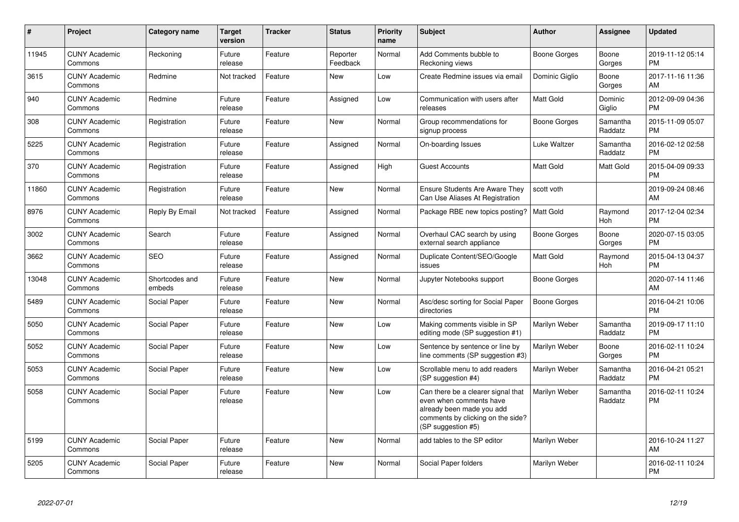| $\pmb{\#}$ | Project                         | <b>Category name</b>     | <b>Target</b><br>version | <b>Tracker</b> | <b>Status</b>        | <b>Priority</b><br>name | <b>Subject</b>                                                                                                                                        | <b>Author</b>    | <b>Assignee</b>     | <b>Updated</b>                |
|------------|---------------------------------|--------------------------|--------------------------|----------------|----------------------|-------------------------|-------------------------------------------------------------------------------------------------------------------------------------------------------|------------------|---------------------|-------------------------------|
| 11945      | <b>CUNY Academic</b><br>Commons | Reckoning                | Future<br>release        | Feature        | Reporter<br>Feedback | Normal                  | Add Comments bubble to<br>Reckoning views                                                                                                             | Boone Gorges     | Boone<br>Gorges     | 2019-11-12 05:14<br><b>PM</b> |
| 3615       | <b>CUNY Academic</b><br>Commons | Redmine                  | Not tracked              | Feature        | <b>New</b>           | Low                     | Create Redmine issues via email                                                                                                                       | Dominic Giglio   | Boone<br>Gorges     | 2017-11-16 11:36<br>AM        |
| 940        | <b>CUNY Academic</b><br>Commons | Redmine                  | Future<br>release        | Feature        | Assigned             | Low                     | Communication with users after<br>releases                                                                                                            | Matt Gold        | Dominic<br>Giglio   | 2012-09-09 04:36<br><b>PM</b> |
| 308        | <b>CUNY Academic</b><br>Commons | Registration             | Future<br>release        | Feature        | New                  | Normal                  | Group recommendations for<br>signup process                                                                                                           | Boone Gorges     | Samantha<br>Raddatz | 2015-11-09 05:07<br><b>PM</b> |
| 5225       | <b>CUNY Academic</b><br>Commons | Registration             | Future<br>release        | Feature        | Assigned             | Normal                  | On-boarding Issues                                                                                                                                    | Luke Waltzer     | Samantha<br>Raddatz | 2016-02-12 02:58<br><b>PM</b> |
| 370        | <b>CUNY Academic</b><br>Commons | Registration             | Future<br>release        | Feature        | Assigned             | High                    | <b>Guest Accounts</b>                                                                                                                                 | Matt Gold        | Matt Gold           | 2015-04-09 09:33<br><b>PM</b> |
| 11860      | <b>CUNY Academic</b><br>Commons | Registration             | Future<br>release        | Feature        | New                  | Normal                  | <b>Ensure Students Are Aware They</b><br>Can Use Aliases At Registration                                                                              | scott voth       |                     | 2019-09-24 08:46<br>AM        |
| 8976       | <b>CUNY Academic</b><br>Commons | Reply By Email           | Not tracked              | Feature        | Assigned             | Normal                  | Package RBE new topics posting?                                                                                                                       | <b>Matt Gold</b> | Raymond<br>Hoh      | 2017-12-04 02:34<br><b>PM</b> |
| 3002       | <b>CUNY Academic</b><br>Commons | Search                   | Future<br>release        | Feature        | Assigned             | Normal                  | Overhaul CAC search by using<br>external search appliance                                                                                             | Boone Gorges     | Boone<br>Gorges     | 2020-07-15 03:05<br><b>PM</b> |
| 3662       | <b>CUNY Academic</b><br>Commons | <b>SEO</b>               | Future<br>release        | Feature        | Assigned             | Normal                  | Duplicate Content/SEO/Google<br>issues                                                                                                                | Matt Gold        | Raymond<br>Hoh      | 2015-04-13 04:37<br><b>PM</b> |
| 13048      | <b>CUNY Academic</b><br>Commons | Shortcodes and<br>embeds | Future<br>release        | Feature        | New                  | Normal                  | Jupyter Notebooks support                                                                                                                             | Boone Gorges     |                     | 2020-07-14 11:46<br>AM        |
| 5489       | <b>CUNY Academic</b><br>Commons | Social Paper             | Future<br>release        | Feature        | New                  | Normal                  | Asc/desc sorting for Social Paper<br>directories                                                                                                      | Boone Gorges     |                     | 2016-04-21 10:06<br><b>PM</b> |
| 5050       | <b>CUNY Academic</b><br>Commons | Social Paper             | Future<br>release        | Feature        | New                  | Low                     | Making comments visible in SP<br>editing mode (SP suggestion #1)                                                                                      | Marilyn Weber    | Samantha<br>Raddatz | 2019-09-17 11:10<br><b>PM</b> |
| 5052       | <b>CUNY Academic</b><br>Commons | Social Paper             | Future<br>release        | Feature        | New                  | Low                     | Sentence by sentence or line by<br>line comments (SP suggestion #3)                                                                                   | Marilyn Weber    | Boone<br>Gorges     | 2016-02-11 10:24<br><b>PM</b> |
| 5053       | <b>CUNY Academic</b><br>Commons | Social Paper             | Future<br>release        | Feature        | <b>New</b>           | Low                     | Scrollable menu to add readers<br>(SP suggestion #4)                                                                                                  | Marilyn Weber    | Samantha<br>Raddatz | 2016-04-21 05:21<br><b>PM</b> |
| 5058       | <b>CUNY Academic</b><br>Commons | Social Paper             | Future<br>release        | Feature        | <b>New</b>           | Low                     | Can there be a clearer signal that<br>even when comments have<br>already been made you add<br>comments by clicking on the side?<br>(SP suggestion #5) | Marilyn Weber    | Samantha<br>Raddatz | 2016-02-11 10:24<br><b>PM</b> |
| 5199       | <b>CUNY Academic</b><br>Commons | Social Paper             | Future<br>release        | Feature        | New                  | Normal                  | add tables to the SP editor                                                                                                                           | Marilyn Weber    |                     | 2016-10-24 11:27<br>AM        |
| 5205       | <b>CUNY Academic</b><br>Commons | Social Paper             | Future<br>release        | Feature        | <b>New</b>           | Normal                  | Social Paper folders                                                                                                                                  | Marilyn Weber    |                     | 2016-02-11 10:24<br><b>PM</b> |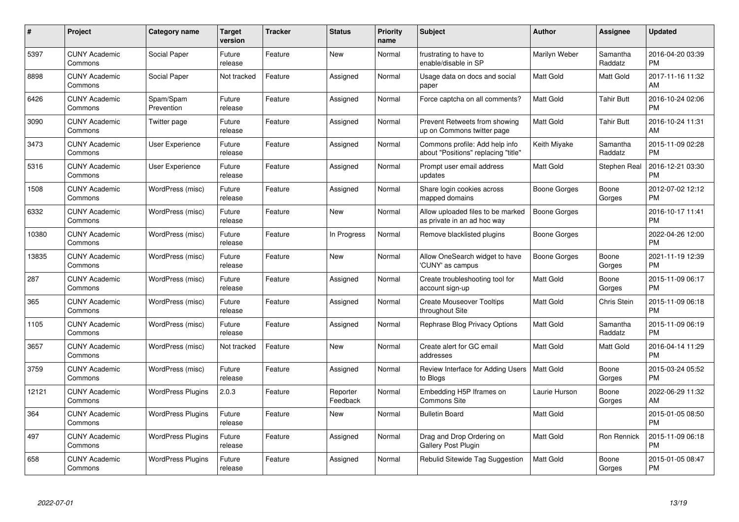| #     | Project                         | <b>Category name</b>     | Target<br>version | <b>Tracker</b> | <b>Status</b>        | <b>Priority</b><br>name | <b>Subject</b>                                                        | <b>Author</b>       | Assignee            | <b>Updated</b>                |
|-------|---------------------------------|--------------------------|-------------------|----------------|----------------------|-------------------------|-----------------------------------------------------------------------|---------------------|---------------------|-------------------------------|
| 5397  | <b>CUNY Academic</b><br>Commons | Social Paper             | Future<br>release | Feature        | <b>New</b>           | Normal                  | frustrating to have to<br>enable/disable in SP                        | Marilyn Weber       | Samantha<br>Raddatz | 2016-04-20 03:39<br><b>PM</b> |
| 8898  | <b>CUNY Academic</b><br>Commons | Social Paper             | Not tracked       | Feature        | Assigned             | Normal                  | Usage data on docs and social<br>paper                                | <b>Matt Gold</b>    | Matt Gold           | 2017-11-16 11:32<br>AM        |
| 6426  | <b>CUNY Academic</b><br>Commons | Spam/Spam<br>Prevention  | Future<br>release | Feature        | Assigned             | Normal                  | Force captcha on all comments?                                        | Matt Gold           | <b>Tahir Butt</b>   | 2016-10-24 02:06<br><b>PM</b> |
| 3090  | <b>CUNY Academic</b><br>Commons | Twitter page             | Future<br>release | Feature        | Assigned             | Normal                  | Prevent Retweets from showing<br>up on Commons twitter page           | Matt Gold           | Tahir Butt          | 2016-10-24 11:31<br>AM        |
| 3473  | <b>CUNY Academic</b><br>Commons | <b>User Experience</b>   | Future<br>release | Feature        | Assigned             | Normal                  | Commons profile: Add help info<br>about "Positions" replacing "title" | Keith Miyake        | Samantha<br>Raddatz | 2015-11-09 02:28<br><b>PM</b> |
| 5316  | <b>CUNY Academic</b><br>Commons | <b>User Experience</b>   | Future<br>release | Feature        | Assigned             | Normal                  | Prompt user email address<br>updates                                  | <b>Matt Gold</b>    | Stephen Real        | 2016-12-21 03:30<br><b>PM</b> |
| 1508  | <b>CUNY Academic</b><br>Commons | WordPress (misc)         | Future<br>release | Feature        | Assigned             | Normal                  | Share login cookies across<br>mapped domains                          | Boone Gorges        | Boone<br>Gorges     | 2012-07-02 12:12<br><b>PM</b> |
| 6332  | <b>CUNY Academic</b><br>Commons | WordPress (misc)         | Future<br>release | Feature        | <b>New</b>           | Normal                  | Allow uploaded files to be marked<br>as private in an ad hoc way      | <b>Boone Gorges</b> |                     | 2016-10-17 11:41<br><b>PM</b> |
| 10380 | <b>CUNY Academic</b><br>Commons | WordPress (misc)         | Future<br>release | Feature        | In Progress          | Normal                  | Remove blacklisted plugins                                            | Boone Gorges        |                     | 2022-04-26 12:00<br><b>PM</b> |
| 13835 | <b>CUNY Academic</b><br>Commons | WordPress (misc)         | Future<br>release | Feature        | <b>New</b>           | Normal                  | Allow OneSearch widget to have<br>'CUNY' as campus                    | Boone Gorges        | Boone<br>Gorges     | 2021-11-19 12:39<br><b>PM</b> |
| 287   | <b>CUNY Academic</b><br>Commons | WordPress (misc)         | Future<br>release | Feature        | Assigned             | Normal                  | Create troubleshooting tool for<br>account sign-up                    | Matt Gold           | Boone<br>Gorges     | 2015-11-09 06:17<br><b>PM</b> |
| 365   | <b>CUNY Academic</b><br>Commons | WordPress (misc)         | Future<br>release | Feature        | Assigned             | Normal                  | <b>Create Mouseover Tooltips</b><br>throughout Site                   | Matt Gold           | Chris Stein         | 2015-11-09 06:18<br><b>PM</b> |
| 1105  | <b>CUNY Academic</b><br>Commons | WordPress (misc)         | Future<br>release | Feature        | Assigned             | Normal                  | Rephrase Blog Privacy Options                                         | <b>Matt Gold</b>    | Samantha<br>Raddatz | 2015-11-09 06:19<br><b>PM</b> |
| 3657  | <b>CUNY Academic</b><br>Commons | WordPress (misc)         | Not tracked       | Feature        | New                  | Normal                  | Create alert for GC email<br>addresses                                | Matt Gold           | Matt Gold           | 2016-04-14 11:29<br><b>PM</b> |
| 3759  | <b>CUNY Academic</b><br>Commons | WordPress (misc)         | Future<br>release | Feature        | Assigned             | Normal                  | Review Interface for Adding Users<br>to Blogs                         | <b>Matt Gold</b>    | Boone<br>Gorges     | 2015-03-24 05:52<br><b>PM</b> |
| 12121 | <b>CUNY Academic</b><br>Commons | <b>WordPress Plugins</b> | 2.0.3             | Feature        | Reporter<br>Feedback | Normal                  | Embedding H5P Iframes on<br><b>Commons Site</b>                       | Laurie Hurson       | Boone<br>Gorges     | 2022-06-29 11:32<br>AM        |
| 364   | <b>CUNY Academic</b><br>Commons | <b>WordPress Plugins</b> | Future<br>release | Feature        | New                  | Normal                  | <b>Bulletin Board</b>                                                 | <b>Matt Gold</b>    |                     | 2015-01-05 08:50<br><b>PM</b> |
| 497   | <b>CUNY Academic</b><br>Commons | <b>WordPress Plugins</b> | Future<br>release | Feature        | Assigned             | Normal                  | Drag and Drop Ordering on<br><b>Gallery Post Plugin</b>               | Matt Gold           | Ron Rennick         | 2015-11-09 06:18<br><b>PM</b> |
| 658   | <b>CUNY Academic</b><br>Commons | <b>WordPress Plugins</b> | Future<br>release | Feature        | Assigned             | Normal                  | Rebulid Sitewide Tag Suggestion                                       | <b>Matt Gold</b>    | Boone<br>Gorges     | 2015-01-05 08:47<br><b>PM</b> |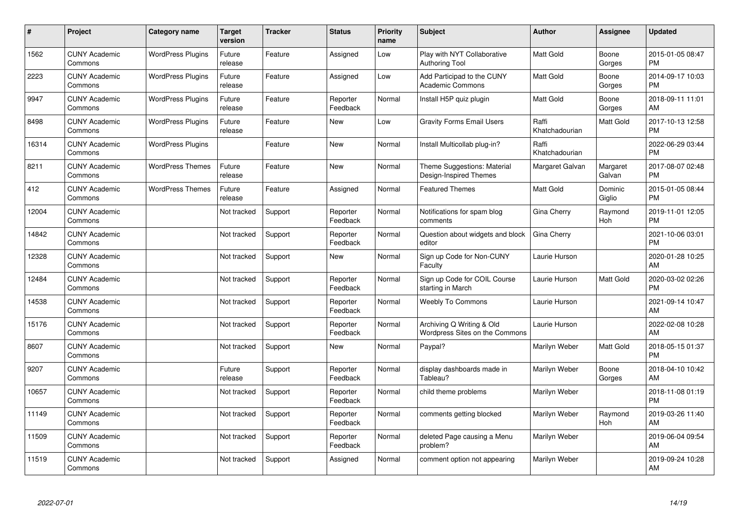| #     | Project                         | <b>Category name</b>     | <b>Target</b><br>version | <b>Tracker</b> | <b>Status</b>        | <b>Priority</b><br>name | <b>Subject</b>                                              | <b>Author</b>           | <b>Assignee</b>    | <b>Updated</b>                |
|-------|---------------------------------|--------------------------|--------------------------|----------------|----------------------|-------------------------|-------------------------------------------------------------|-------------------------|--------------------|-------------------------------|
| 1562  | <b>CUNY Academic</b><br>Commons | <b>WordPress Plugins</b> | Future<br>release        | Feature        | Assigned             | Low                     | Play with NYT Collaborative<br><b>Authoring Tool</b>        | <b>Matt Gold</b>        | Boone<br>Gorges    | 2015-01-05 08:47<br><b>PM</b> |
| 2223  | <b>CUNY Academic</b><br>Commons | <b>WordPress Plugins</b> | Future<br>release        | Feature        | Assigned             | Low                     | Add Participad to the CUNY<br><b>Academic Commons</b>       | <b>Matt Gold</b>        | Boone<br>Gorges    | 2014-09-17 10:03<br><b>PM</b> |
| 9947  | <b>CUNY Academic</b><br>Commons | <b>WordPress Plugins</b> | Future<br>release        | Feature        | Reporter<br>Feedback | Normal                  | Install H5P quiz plugin                                     | <b>Matt Gold</b>        | Boone<br>Gorges    | 2018-09-11 11:01<br>AM        |
| 8498  | <b>CUNY Academic</b><br>Commons | <b>WordPress Plugins</b> | Future<br>release        | Feature        | <b>New</b>           | Low                     | <b>Gravity Forms Email Users</b>                            | Raffi<br>Khatchadourian | Matt Gold          | 2017-10-13 12:58<br><b>PM</b> |
| 16314 | <b>CUNY Academic</b><br>Commons | <b>WordPress Plugins</b> |                          | Feature        | <b>New</b>           | Normal                  | Install Multicollab plug-in?                                | Raffi<br>Khatchadourian |                    | 2022-06-29 03:44<br><b>PM</b> |
| 8211  | <b>CUNY Academic</b><br>Commons | <b>WordPress Themes</b>  | Future<br>release        | Feature        | <b>New</b>           | Normal                  | Theme Suggestions: Material<br>Design-Inspired Themes       | Margaret Galvan         | Margaret<br>Galvan | 2017-08-07 02:48<br><b>PM</b> |
| 412   | <b>CUNY Academic</b><br>Commons | <b>WordPress Themes</b>  | Future<br>release        | Feature        | Assigned             | Normal                  | <b>Featured Themes</b>                                      | Matt Gold               | Dominic<br>Giglio  | 2015-01-05 08:44<br><b>PM</b> |
| 12004 | <b>CUNY Academic</b><br>Commons |                          | Not tracked              | Support        | Reporter<br>Feedback | Normal                  | Notifications for spam blog<br>comments                     | Gina Cherry             | Raymond<br>Hoh     | 2019-11-01 12:05<br><b>PM</b> |
| 14842 | <b>CUNY Academic</b><br>Commons |                          | Not tracked              | Support        | Reporter<br>Feedback | Normal                  | Question about widgets and block<br>editor                  | Gina Cherry             |                    | 2021-10-06 03:01<br><b>PM</b> |
| 12328 | <b>CUNY Academic</b><br>Commons |                          | Not tracked              | Support        | New                  | Normal                  | Sign up Code for Non-CUNY<br>Faculty                        | Laurie Hurson           |                    | 2020-01-28 10:25<br>AM        |
| 12484 | <b>CUNY Academic</b><br>Commons |                          | Not tracked              | Support        | Reporter<br>Feedback | Normal                  | Sign up Code for COIL Course<br>starting in March           | Laurie Hurson           | Matt Gold          | 2020-03-02 02:26<br><b>PM</b> |
| 14538 | <b>CUNY Academic</b><br>Commons |                          | Not tracked              | Support        | Reporter<br>Feedback | Normal                  | <b>Weebly To Commons</b>                                    | Laurie Hurson           |                    | 2021-09-14 10:47<br>AM        |
| 15176 | <b>CUNY Academic</b><br>Commons |                          | Not tracked              | Support        | Reporter<br>Feedback | Normal                  | Archiving Q Writing & Old<br>Wordpress Sites on the Commons | Laurie Hurson           |                    | 2022-02-08 10:28<br>AM        |
| 8607  | <b>CUNY Academic</b><br>Commons |                          | Not tracked              | Support        | <b>New</b>           | Normal                  | Paypal?                                                     | Marilyn Weber           | Matt Gold          | 2018-05-15 01:37<br><b>PM</b> |
| 9207  | <b>CUNY Academic</b><br>Commons |                          | Future<br>release        | Support        | Reporter<br>Feedback | Normal                  | display dashboards made in<br>Tableau?                      | Marilyn Weber           | Boone<br>Gorges    | 2018-04-10 10:42<br>AM        |
| 10657 | <b>CUNY Academic</b><br>Commons |                          | Not tracked              | Support        | Reporter<br>Feedback | Normal                  | child theme problems                                        | Marilyn Weber           |                    | 2018-11-08 01:19<br><b>PM</b> |
| 11149 | <b>CUNY Academic</b><br>Commons |                          | Not tracked              | Support        | Reporter<br>Feedback | Normal                  | comments getting blocked                                    | Marilyn Weber           | Raymond<br>Hoh     | 2019-03-26 11:40<br>AM        |
| 11509 | <b>CUNY Academic</b><br>Commons |                          | Not tracked              | Support        | Reporter<br>Feedback | Normal                  | deleted Page causing a Menu<br>problem?                     | Marilyn Weber           |                    | 2019-06-04 09:54<br>AM        |
| 11519 | <b>CUNY Academic</b><br>Commons |                          | Not tracked              | Support        | Assigned             | Normal                  | comment option not appearing                                | Marilyn Weber           |                    | 2019-09-24 10:28<br>AM        |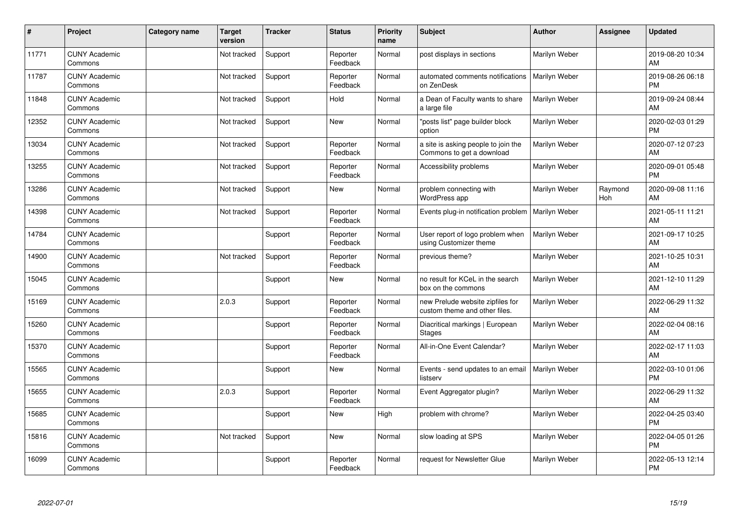| #     | Project                         | <b>Category name</b> | <b>Target</b><br>version | <b>Tracker</b> | <b>Status</b>        | <b>Priority</b><br>name | <b>Subject</b>                                                    | <b>Author</b> | Assignee       | <b>Updated</b>                |
|-------|---------------------------------|----------------------|--------------------------|----------------|----------------------|-------------------------|-------------------------------------------------------------------|---------------|----------------|-------------------------------|
| 11771 | <b>CUNY Academic</b><br>Commons |                      | Not tracked              | Support        | Reporter<br>Feedback | Normal                  | post displays in sections                                         | Marilyn Weber |                | 2019-08-20 10:34<br>AM        |
| 11787 | <b>CUNY Academic</b><br>Commons |                      | Not tracked              | Support        | Reporter<br>Feedback | Normal                  | automated comments notifications<br>on ZenDesk                    | Marilyn Weber |                | 2019-08-26 06:18<br><b>PM</b> |
| 11848 | <b>CUNY Academic</b><br>Commons |                      | Not tracked              | Support        | Hold                 | Normal                  | a Dean of Faculty wants to share<br>a large file                  | Marilyn Weber |                | 2019-09-24 08:44<br>AM        |
| 12352 | <b>CUNY Academic</b><br>Commons |                      | Not tracked              | Support        | <b>New</b>           | Normal                  | "posts list" page builder block<br>option                         | Marilyn Weber |                | 2020-02-03 01:29<br><b>PM</b> |
| 13034 | <b>CUNY Academic</b><br>Commons |                      | Not tracked              | Support        | Reporter<br>Feedback | Normal                  | a site is asking people to join the<br>Commons to get a download  | Marilyn Weber |                | 2020-07-12 07:23<br>AM        |
| 13255 | <b>CUNY Academic</b><br>Commons |                      | Not tracked              | Support        | Reporter<br>Feedback | Normal                  | Accessibility problems                                            | Marilyn Weber |                | 2020-09-01 05:48<br><b>PM</b> |
| 13286 | <b>CUNY Academic</b><br>Commons |                      | Not tracked              | Support        | <b>New</b>           | Normal                  | problem connecting with<br>WordPress app                          | Marilyn Weber | Raymond<br>Hoh | 2020-09-08 11:16<br>AM        |
| 14398 | <b>CUNY Academic</b><br>Commons |                      | Not tracked              | Support        | Reporter<br>Feedback | Normal                  | Events plug-in notification problem                               | Marilyn Weber |                | 2021-05-11 11:21<br>AM        |
| 14784 | <b>CUNY Academic</b><br>Commons |                      |                          | Support        | Reporter<br>Feedback | Normal                  | User report of logo problem when<br>using Customizer theme        | Marilyn Weber |                | 2021-09-17 10:25<br>AM        |
| 14900 | <b>CUNY Academic</b><br>Commons |                      | Not tracked              | Support        | Reporter<br>Feedback | Normal                  | previous theme?                                                   | Marilyn Weber |                | 2021-10-25 10:31<br>AM        |
| 15045 | <b>CUNY Academic</b><br>Commons |                      |                          | Support        | New                  | Normal                  | no result for KCeL in the search<br>box on the commons            | Marilyn Weber |                | 2021-12-10 11:29<br>AM        |
| 15169 | <b>CUNY Academic</b><br>Commons |                      | 2.0.3                    | Support        | Reporter<br>Feedback | Normal                  | new Prelude website zipfiles for<br>custom theme and other files. | Marilyn Weber |                | 2022-06-29 11:32<br>AM        |
| 15260 | <b>CUNY Academic</b><br>Commons |                      |                          | Support        | Reporter<br>Feedback | Normal                  | Diacritical markings   European<br><b>Stages</b>                  | Marilyn Weber |                | 2022-02-04 08:16<br>AM        |
| 15370 | <b>CUNY Academic</b><br>Commons |                      |                          | Support        | Reporter<br>Feedback | Normal                  | All-in-One Event Calendar?                                        | Marilyn Weber |                | 2022-02-17 11:03<br>AM        |
| 15565 | <b>CUNY Academic</b><br>Commons |                      |                          | Support        | New                  | Normal                  | Events - send updates to an email<br>listserv                     | Marilyn Weber |                | 2022-03-10 01:06<br><b>PM</b> |
| 15655 | <b>CUNY Academic</b><br>Commons |                      | 2.0.3                    | Support        | Reporter<br>Feedback | Normal                  | Event Aggregator plugin?                                          | Marilyn Weber |                | 2022-06-29 11:32<br>AM        |
| 15685 | <b>CUNY Academic</b><br>Commons |                      |                          | Support        | New                  | High                    | problem with chrome?                                              | Marilyn Weber |                | 2022-04-25 03:40<br><b>PM</b> |
| 15816 | <b>CUNY Academic</b><br>Commons |                      | Not tracked              | Support        | New                  | Normal                  | slow loading at SPS                                               | Marilyn Weber |                | 2022-04-05 01:26<br><b>PM</b> |
| 16099 | <b>CUNY Academic</b><br>Commons |                      |                          | Support        | Reporter<br>Feedback | Normal                  | request for Newsletter Glue                                       | Marilyn Weber |                | 2022-05-13 12:14<br>PM        |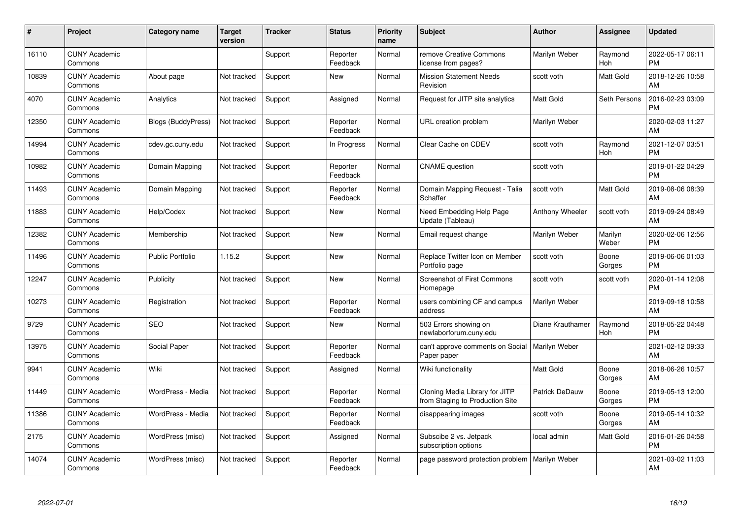| #     | Project                         | <b>Category name</b>      | <b>Target</b><br>version | <b>Tracker</b> | <b>Status</b>        | <b>Priority</b><br>name | <b>Subject</b>                                                    | <b>Author</b>    | <b>Assignee</b>  | <b>Updated</b>                |
|-------|---------------------------------|---------------------------|--------------------------|----------------|----------------------|-------------------------|-------------------------------------------------------------------|------------------|------------------|-------------------------------|
| 16110 | <b>CUNY Academic</b><br>Commons |                           |                          | Support        | Reporter<br>Feedback | Normal                  | remove Creative Commons<br>license from pages?                    | Marilyn Weber    | Raymond<br>Hoh   | 2022-05-17 06:11<br><b>PM</b> |
| 10839 | <b>CUNY Academic</b><br>Commons | About page                | Not tracked              | Support        | <b>New</b>           | Normal                  | <b>Mission Statement Needs</b><br>Revision                        | scott voth       | Matt Gold        | 2018-12-26 10:58<br>AM        |
| 4070  | <b>CUNY Academic</b><br>Commons | Analytics                 | Not tracked              | Support        | Assigned             | Normal                  | Request for JITP site analytics                                   | <b>Matt Gold</b> | Seth Persons     | 2016-02-23 03:09<br><b>PM</b> |
| 12350 | <b>CUNY Academic</b><br>Commons | <b>Blogs (BuddyPress)</b> | Not tracked              | Support        | Reporter<br>Feedback | Normal                  | URL creation problem                                              | Marilyn Weber    |                  | 2020-02-03 11:27<br>AM        |
| 14994 | <b>CUNY Academic</b><br>Commons | cdev.gc.cuny.edu          | Not tracked              | Support        | In Progress          | Normal                  | Clear Cache on CDEV                                               | scott voth       | Raymond<br>Hoh   | 2021-12-07 03:51<br><b>PM</b> |
| 10982 | <b>CUNY Academic</b><br>Commons | Domain Mapping            | Not tracked              | Support        | Reporter<br>Feedback | Normal                  | <b>CNAME</b> question                                             | scott voth       |                  | 2019-01-22 04:29<br><b>PM</b> |
| 11493 | <b>CUNY Academic</b><br>Commons | Domain Mapping            | Not tracked              | Support        | Reporter<br>Feedback | Normal                  | Domain Mapping Request - Talia<br>Schaffer                        | scott voth       | Matt Gold        | 2019-08-06 08:39<br>AM        |
| 11883 | <b>CUNY Academic</b><br>Commons | Help/Codex                | Not tracked              | Support        | <b>New</b>           | Normal                  | Need Embedding Help Page<br>Update (Tableau)                      | Anthony Wheeler  | scott voth       | 2019-09-24 08:49<br>AM        |
| 12382 | <b>CUNY Academic</b><br>Commons | Membership                | Not tracked              | Support        | New                  | Normal                  | Email request change                                              | Marilyn Weber    | Marilyn<br>Weber | 2020-02-06 12:56<br><b>PM</b> |
| 11496 | <b>CUNY Academic</b><br>Commons | <b>Public Portfolio</b>   | 1.15.2                   | Support        | New                  | Normal                  | Replace Twitter Icon on Member<br>Portfolio page                  | scott voth       | Boone<br>Gorges  | 2019-06-06 01:03<br><b>PM</b> |
| 12247 | <b>CUNY Academic</b><br>Commons | Publicity                 | Not tracked              | Support        | New                  | Normal                  | <b>Screenshot of First Commons</b><br>Homepage                    | scott voth       | scott voth       | 2020-01-14 12:08<br><b>PM</b> |
| 10273 | <b>CUNY Academic</b><br>Commons | Registration              | Not tracked              | Support        | Reporter<br>Feedback | Normal                  | users combining CF and campus<br>address                          | Marilyn Weber    |                  | 2019-09-18 10:58<br>AM        |
| 9729  | <b>CUNY Academic</b><br>Commons | <b>SEO</b>                | Not tracked              | Support        | New                  | Normal                  | 503 Errors showing on<br>newlaborforum.cuny.edu                   | Diane Krauthamer | Raymond<br>Hoh   | 2018-05-22 04:48<br><b>PM</b> |
| 13975 | <b>CUNY Academic</b><br>Commons | Social Paper              | Not tracked              | Support        | Reporter<br>Feedback | Normal                  | can't approve comments on Social<br>Paper paper                   | Marilyn Weber    |                  | 2021-02-12 09:33<br>AM        |
| 9941  | <b>CUNY Academic</b><br>Commons | Wiki                      | Not tracked              | Support        | Assigned             | Normal                  | Wiki functionality                                                | Matt Gold        | Boone<br>Gorges  | 2018-06-26 10:57<br>AM        |
| 11449 | <b>CUNY Academic</b><br>Commons | WordPress - Media         | Not tracked              | Support        | Reporter<br>Feedback | Normal                  | Cloning Media Library for JITP<br>from Staging to Production Site | Patrick DeDauw   | Boone<br>Gorges  | 2019-05-13 12:00<br><b>PM</b> |
| 11386 | <b>CUNY Academic</b><br>Commons | WordPress - Media         | Not tracked              | Support        | Reporter<br>Feedback | Normal                  | disappearing images                                               | scott voth       | Boone<br>Gorges  | 2019-05-14 10:32<br>AM        |
| 2175  | <b>CUNY Academic</b><br>Commons | WordPress (misc)          | Not tracked              | Support        | Assigned             | Normal                  | Subscibe 2 vs. Jetpack<br>subscription options                    | local admin      | Matt Gold        | 2016-01-26 04:58<br><b>PM</b> |
| 14074 | <b>CUNY Academic</b><br>Commons | WordPress (misc)          | Not tracked              | Support        | Reporter<br>Feedback | Normal                  | page password protection problem                                  | Marilyn Weber    |                  | 2021-03-02 11:03<br>AM        |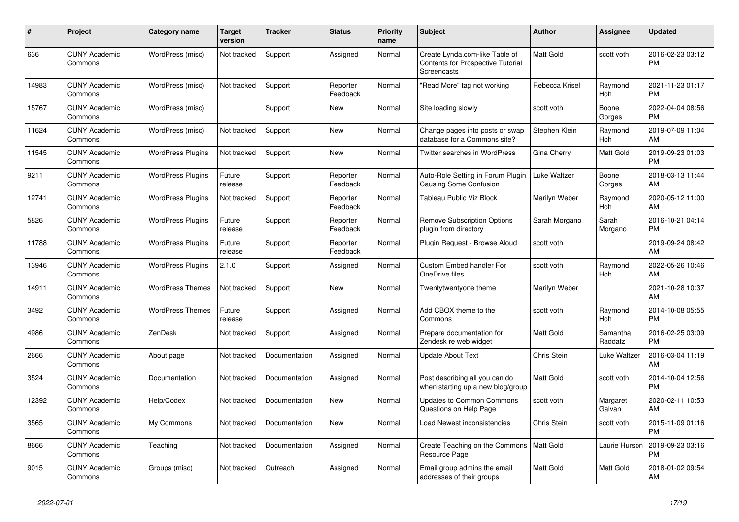| $\#$  | Project                         | <b>Category name</b>     | <b>Target</b><br>version | <b>Tracker</b> | <b>Status</b>        | Priority<br>name | <b>Subject</b>                                                                            | <b>Author</b>    | <b>Assignee</b>     | <b>Updated</b>                |
|-------|---------------------------------|--------------------------|--------------------------|----------------|----------------------|------------------|-------------------------------------------------------------------------------------------|------------------|---------------------|-------------------------------|
| 636   | <b>CUNY Academic</b><br>Commons | WordPress (misc)         | Not tracked              | Support        | Assigned             | Normal           | Create Lynda.com-like Table of<br>Contents for Prospective Tutorial<br><b>Screencasts</b> | Matt Gold        | scott voth          | 2016-02-23 03:12<br><b>PM</b> |
| 14983 | <b>CUNY Academic</b><br>Commons | WordPress (misc)         | Not tracked              | Support        | Reporter<br>Feedback | Normal           | "Read More" tag not working                                                               | Rebecca Krisel   | Raymond<br>Hoh      | 2021-11-23 01:17<br><b>PM</b> |
| 15767 | <b>CUNY Academic</b><br>Commons | WordPress (misc)         |                          | Support        | <b>New</b>           | Normal           | Site loading slowly                                                                       | scott voth       | Boone<br>Gorges     | 2022-04-04 08:56<br><b>PM</b> |
| 11624 | <b>CUNY Academic</b><br>Commons | WordPress (misc)         | Not tracked              | Support        | New                  | Normal           | Change pages into posts or swap<br>database for a Commons site?                           | Stephen Klein    | Raymond<br>Hoh      | 2019-07-09 11:04<br>AM        |
| 11545 | <b>CUNY Academic</b><br>Commons | <b>WordPress Plugins</b> | Not tracked              | Support        | New                  | Normal           | Twitter searches in WordPress                                                             | Gina Cherry      | Matt Gold           | 2019-09-23 01:03<br><b>PM</b> |
| 9211  | <b>CUNY Academic</b><br>Commons | <b>WordPress Plugins</b> | Future<br>release        | Support        | Reporter<br>Feedback | Normal           | Auto-Role Setting in Forum Plugin<br>Causing Some Confusion                               | Luke Waltzer     | Boone<br>Gorges     | 2018-03-13 11:44<br>AM        |
| 12741 | <b>CUNY Academic</b><br>Commons | <b>WordPress Plugins</b> | Not tracked              | Support        | Reporter<br>Feedback | Normal           | Tableau Public Viz Block                                                                  | Marilyn Weber    | Raymond<br>Hoh      | 2020-05-12 11:00<br>AM        |
| 5826  | <b>CUNY Academic</b><br>Commons | <b>WordPress Plugins</b> | Future<br>release        | Support        | Reporter<br>Feedback | Normal           | <b>Remove Subscription Options</b><br>plugin from directory                               | Sarah Morgano    | Sarah<br>Morgano    | 2016-10-21 04:14<br><b>PM</b> |
| 11788 | <b>CUNY Academic</b><br>Commons | <b>WordPress Plugins</b> | Future<br>release        | Support        | Reporter<br>Feedback | Normal           | Plugin Request - Browse Aloud                                                             | scott voth       |                     | 2019-09-24 08:42<br>AM        |
| 13946 | <b>CUNY Academic</b><br>Commons | <b>WordPress Plugins</b> | 2.1.0                    | Support        | Assigned             | Normal           | <b>Custom Embed handler For</b><br>OneDrive files                                         | scott voth       | Raymond<br>Hoh      | 2022-05-26 10:46<br>AM        |
| 14911 | <b>CUNY Academic</b><br>Commons | <b>WordPress Themes</b>  | Not tracked              | Support        | New                  | Normal           | Twentytwentyone theme                                                                     | Marilyn Weber    |                     | 2021-10-28 10:37<br>AM        |
| 3492  | <b>CUNY Academic</b><br>Commons | <b>WordPress Themes</b>  | Future<br>release        | Support        | Assigned             | Normal           | Add CBOX theme to the<br>Commons                                                          | scott voth       | Raymond<br>Hoh      | 2014-10-08 05:55<br><b>PM</b> |
| 4986  | <b>CUNY Academic</b><br>Commons | ZenDesk                  | Not tracked              | Support        | Assigned             | Normal           | Prepare documentation for<br>Zendesk re web widget                                        | <b>Matt Gold</b> | Samantha<br>Raddatz | 2016-02-25 03:09<br><b>PM</b> |
| 2666  | <b>CUNY Academic</b><br>Commons | About page               | Not tracked              | Documentation  | Assigned             | Normal           | <b>Update About Text</b>                                                                  | Chris Stein      | Luke Waltzer        | 2016-03-04 11:19<br>AM        |
| 3524  | <b>CUNY Academic</b><br>Commons | Documentation            | Not tracked              | Documentation  | Assigned             | Normal           | Post describing all you can do<br>when starting up a new blog/group                       | Matt Gold        | scott voth          | 2014-10-04 12:56<br><b>PM</b> |
| 12392 | <b>CUNY Academic</b><br>Commons | Help/Codex               | Not tracked              | Documentation  | <b>New</b>           | Normal           | Updates to Common Commons<br>Questions on Help Page                                       | scott voth       | Margaret<br>Galvan  | 2020-02-11 10:53<br>AM        |
| 3565  | <b>CUNY Academic</b><br>Commons | My Commons               | Not tracked              | Documentation  | <b>New</b>           | Normal           | Load Newest inconsistencies                                                               | Chris Stein      | scott voth          | 2015-11-09 01:16<br><b>PM</b> |
| 8666  | <b>CUNY Academic</b><br>Commons | Teaching                 | Not tracked              | Documentation  | Assigned             | Normal           | Create Teaching on the Commons<br>Resource Page                                           | Matt Gold        | Laurie Hurson       | 2019-09-23 03:16<br><b>PM</b> |
| 9015  | <b>CUNY Academic</b><br>Commons | Groups (misc)            | Not tracked              | Outreach       | Assigned             | Normal           | Email group admins the email<br>addresses of their groups                                 | <b>Matt Gold</b> | Matt Gold           | 2018-01-02 09:54<br>AM        |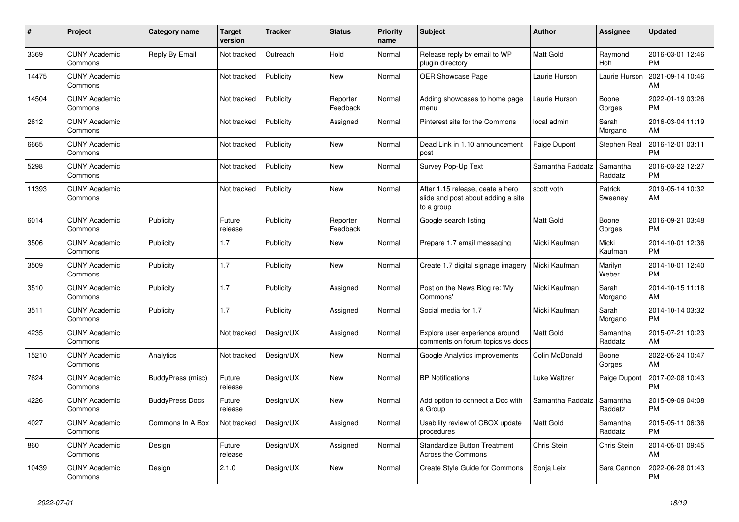| $\vert$ # | <b>Project</b>                  | Category name          | <b>Target</b><br>version | <b>Tracker</b> | <b>Status</b>        | <b>Priority</b><br>name | <b>Subject</b>                                                                       | <b>Author</b>    | Assignee            | <b>Updated</b>                |
|-----------|---------------------------------|------------------------|--------------------------|----------------|----------------------|-------------------------|--------------------------------------------------------------------------------------|------------------|---------------------|-------------------------------|
| 3369      | <b>CUNY Academic</b><br>Commons | Reply By Email         | Not tracked              | Outreach       | Hold                 | Normal                  | Release reply by email to WP<br>plugin directory                                     | <b>Matt Gold</b> | Raymond<br>Hoh      | 2016-03-01 12:46<br><b>PM</b> |
| 14475     | <b>CUNY Academic</b><br>Commons |                        | Not tracked              | Publicity      | <b>New</b>           | Normal                  | <b>OER Showcase Page</b>                                                             | Laurie Hurson    | Laurie Hurson       | 2021-09-14 10:46<br>AM        |
| 14504     | <b>CUNY Academic</b><br>Commons |                        | Not tracked              | Publicity      | Reporter<br>Feedback | Normal                  | Adding showcases to home page<br>menu                                                | Laurie Hurson    | Boone<br>Gorges     | 2022-01-19 03:26<br><b>PM</b> |
| 2612      | <b>CUNY Academic</b><br>Commons |                        | Not tracked              | Publicity      | Assigned             | Normal                  | Pinterest site for the Commons                                                       | local admin      | Sarah<br>Morgano    | 2016-03-04 11:19<br>AM        |
| 6665      | <b>CUNY Academic</b><br>Commons |                        | Not tracked              | Publicity      | <b>New</b>           | Normal                  | Dead Link in 1.10 announcement<br>post                                               | Paige Dupont     | Stephen Real        | 2016-12-01 03:11<br><b>PM</b> |
| 5298      | <b>CUNY Academic</b><br>Commons |                        | Not tracked              | Publicity      | <b>New</b>           | Normal                  | Survey Pop-Up Text                                                                   | Samantha Raddatz | Samantha<br>Raddatz | 2016-03-22 12:27<br><b>PM</b> |
| 11393     | <b>CUNY Academic</b><br>Commons |                        | Not tracked              | Publicity      | <b>New</b>           | Normal                  | After 1.15 release, ceate a hero<br>slide and post about adding a site<br>to a group | scott voth       | Patrick<br>Sweeney  | 2019-05-14 10:32<br>AM        |
| 6014      | <b>CUNY Academic</b><br>Commons | Publicity              | Future<br>release        | Publicity      | Reporter<br>Feedback | Normal                  | Google search listing                                                                | Matt Gold        | Boone<br>Gorges     | 2016-09-21 03:48<br><b>PM</b> |
| 3506      | <b>CUNY Academic</b><br>Commons | Publicity              | 1.7                      | Publicity      | <b>New</b>           | Normal                  | Prepare 1.7 email messaging                                                          | Micki Kaufman    | Micki<br>Kaufman    | 2014-10-01 12:36<br><b>PM</b> |
| 3509      | <b>CUNY Academic</b><br>Commons | Publicity              | 1.7                      | Publicity      | <b>New</b>           | Normal                  | Create 1.7 digital signage imagery                                                   | Micki Kaufman    | Marilyn<br>Weber    | 2014-10-01 12:40<br><b>PM</b> |
| 3510      | <b>CUNY Academic</b><br>Commons | Publicity              | 1.7                      | Publicity      | Assigned             | Normal                  | Post on the News Blog re: 'My<br>Commons'                                            | Micki Kaufman    | Sarah<br>Morgano    | 2014-10-15 11:18<br>AM        |
| 3511      | <b>CUNY Academic</b><br>Commons | Publicity              | 1.7                      | Publicity      | Assigned             | Normal                  | Social media for 1.7                                                                 | Micki Kaufman    | Sarah<br>Morgano    | 2014-10-14 03:32<br><b>PM</b> |
| 4235      | <b>CUNY Academic</b><br>Commons |                        | Not tracked              | Design/UX      | Assigned             | Normal                  | Explore user experience around<br>comments on forum topics vs docs                   | <b>Matt Gold</b> | Samantha<br>Raddatz | 2015-07-21 10:23<br>AM        |
| 15210     | <b>CUNY Academic</b><br>Commons | Analytics              | Not tracked              | Design/UX      | <b>New</b>           | Normal                  | Google Analytics improvements                                                        | Colin McDonald   | Boone<br>Gorges     | 2022-05-24 10:47<br>AM        |
| 7624      | <b>CUNY Academic</b><br>Commons | BuddyPress (misc)      | Future<br>release        | Design/UX      | New                  | Normal                  | <b>BP</b> Notifications                                                              | Luke Waltzer     | Paige Dupont        | 2017-02-08 10:43<br><b>PM</b> |
| 4226      | <b>CUNY Academic</b><br>Commons | <b>BuddyPress Docs</b> | Future<br>release        | Design/UX      | <b>New</b>           | Normal                  | Add option to connect a Doc with<br>a Group                                          | Samantha Raddatz | Samantha<br>Raddatz | 2015-09-09 04:08<br><b>PM</b> |
| 4027      | <b>CUNY Academic</b><br>Commons | Commons In A Box       | Not tracked              | Design/UX      | Assigned             | Normal                  | Usability review of CBOX update<br>procedures                                        | <b>Matt Gold</b> | Samantha<br>Raddatz | 2015-05-11 06:36<br><b>PM</b> |
| 860       | <b>CUNY Academic</b><br>Commons | Design                 | Future<br>release        | Design/UX      | Assigned             | Normal                  | <b>Standardize Button Treatment</b><br>Across the Commons                            | Chris Stein      | Chris Stein         | 2014-05-01 09:45<br>AM        |
| 10439     | <b>CUNY Academic</b><br>Commons | Design                 | 2.1.0                    | Design/UX      | <b>New</b>           | Normal                  | Create Style Guide for Commons                                                       | Sonja Leix       | Sara Cannon         | 2022-06-28 01:43<br><b>PM</b> |